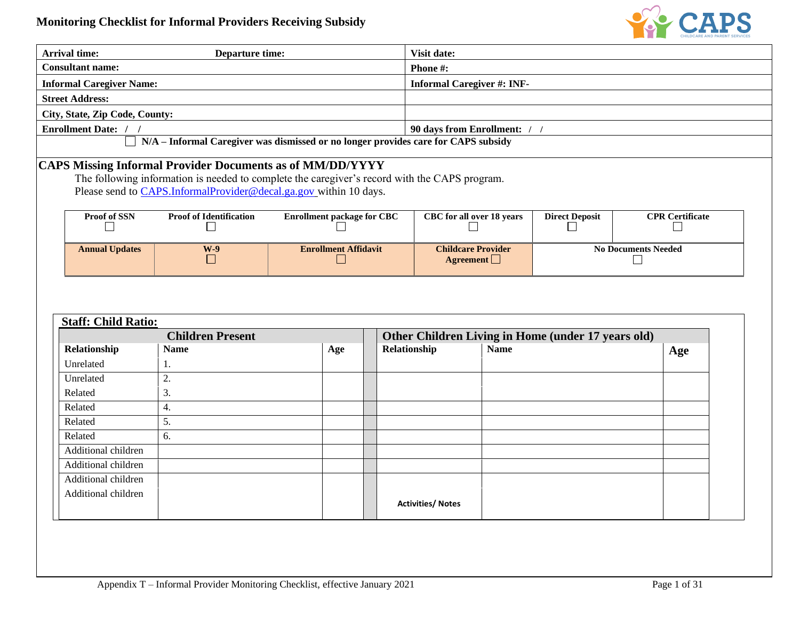

| <b>Arrival time:</b>            | <b>Departure time:</b>                                                                        |                                   |              | Visit date:                       |             |                                                    |                            |
|---------------------------------|-----------------------------------------------------------------------------------------------|-----------------------------------|--------------|-----------------------------------|-------------|----------------------------------------------------|----------------------------|
| <b>Consultant name:</b>         |                                                                                               |                                   |              | Phone #:                          |             |                                                    |                            |
| <b>Informal Caregiver Name:</b> |                                                                                               |                                   |              | <b>Informal Caregiver #: INF-</b> |             |                                                    |                            |
| <b>Street Address:</b>          |                                                                                               |                                   |              |                                   |             |                                                    |                            |
| City, State, Zip Code, County:  |                                                                                               |                                   |              |                                   |             |                                                    |                            |
| Enrollment Date: / /            |                                                                                               |                                   |              | 90 days from Enrollment: / /      |             |                                                    |                            |
|                                 | N/A - Informal Caregiver was dismissed or no longer provides care for CAPS subsidy            |                                   |              |                                   |             |                                                    |                            |
|                                 | CAPS Missing Informal Provider Documents as of MM/DD/YYYY                                     |                                   |              |                                   |             |                                                    |                            |
|                                 | The following information is needed to complete the caregiver's record with the CAPS program. |                                   |              |                                   |             |                                                    |                            |
|                                 | Please send to CAPS.InformalProvider@decal.ga.gov_within 10 days.                             |                                   |              |                                   |             |                                                    |                            |
|                                 |                                                                                               |                                   |              |                                   |             |                                                    |                            |
| Proof of SSN                    | <b>Proof of Identification</b>                                                                | <b>Enrollment package for CBC</b> |              | CBC for all over 18 years         |             | <b>Direct Deposit</b>                              | <b>CPR Certificate</b>     |
|                                 |                                                                                               |                                   |              |                                   |             |                                                    |                            |
| <b>Annual Updates</b>           | $W-9$                                                                                         | <b>Enrollment Affidavit</b>       |              | <b>Childcare Provider</b>         |             |                                                    | <b>No Documents Needed</b> |
|                                 |                                                                                               |                                   |              |                                   |             |                                                    |                            |
|                                 | H                                                                                             |                                   |              | Agreement $\Box$                  |             |                                                    |                            |
| <b>Staff: Child Ratio:</b>      |                                                                                               |                                   |              |                                   |             |                                                    |                            |
|                                 | <b>Children Present</b>                                                                       |                                   |              |                                   |             | Other Children Living in Home (under 17 years old) |                            |
| Relationship                    | <b>Name</b>                                                                                   | Age                               | Relationship |                                   | <b>Name</b> |                                                    | Age                        |
| Unrelated                       | 1.                                                                                            |                                   |              |                                   |             |                                                    |                            |
| Unrelated                       | 2.                                                                                            |                                   |              |                                   |             |                                                    |                            |
| Related                         | 3.                                                                                            |                                   |              |                                   |             |                                                    |                            |
| Related                         | 4.                                                                                            |                                   |              |                                   |             |                                                    |                            |
| Related                         | 5.                                                                                            |                                   |              |                                   |             |                                                    |                            |
| Related                         | 6.                                                                                            |                                   |              |                                   |             |                                                    |                            |
| Additional children             |                                                                                               |                                   |              |                                   |             |                                                    |                            |
| Additional children             |                                                                                               |                                   |              |                                   |             |                                                    |                            |
| Additional children             |                                                                                               |                                   |              |                                   |             |                                                    |                            |
| Additional children             |                                                                                               |                                   |              | <b>Activities/ Notes</b>          |             |                                                    |                            |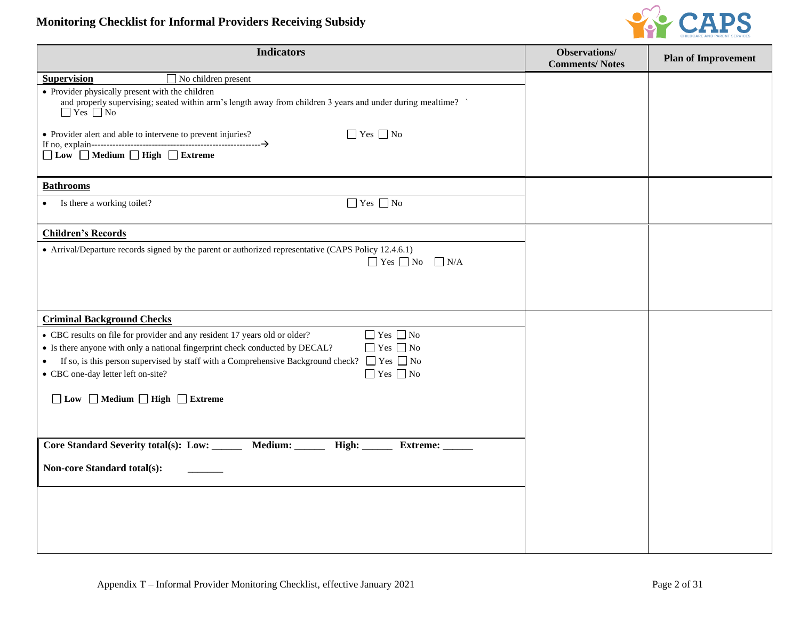## **Monitoring Checklist for Informal Providers Receiving Subsidy**



| <b>Indicators</b>                                                                                                                                                                                                                                                            | Observations/<br><b>Comments/Notes</b> | <b>Plan of Improvement</b> |
|------------------------------------------------------------------------------------------------------------------------------------------------------------------------------------------------------------------------------------------------------------------------------|----------------------------------------|----------------------------|
| <b>Supervision</b><br>$\Box$ No children present                                                                                                                                                                                                                             |                                        |                            |
| • Provider physically present with the children<br>and properly supervising; seated within arm's length away from children 3 years and under during mealtime?<br>$\Box$ Yes $\Box$ No<br>$\Box$ Yes $\Box$ No<br>• Provider alert and able to intervene to prevent injuries? |                                        |                            |
| $\Box$ Low $\Box$ Medium $\Box$ High $\Box$ Extreme                                                                                                                                                                                                                          |                                        |                            |
| <b>Bathrooms</b>                                                                                                                                                                                                                                                             |                                        |                            |
| $\Box$ Yes $\Box$ No<br>Is there a working toilet?<br>$\bullet$                                                                                                                                                                                                              |                                        |                            |
| <b>Children's Records</b>                                                                                                                                                                                                                                                    |                                        |                            |
| • Arrival/Departure records signed by the parent or authorized representative (CAPS Policy 12.4.6.1)<br>$\Box$ Yes $\Box$ No $\Box$ N/A                                                                                                                                      |                                        |                            |
| <b>Criminal Background Checks</b>                                                                                                                                                                                                                                            |                                        |                            |
| $\Box$ Yes $\Box$ No<br>• CBC results on file for provider and any resident 17 years old or older?                                                                                                                                                                           |                                        |                            |
| $\Box$ Yes $\Box$ No<br>• Is there anyone with only a national fingerprint check conducted by DECAL?                                                                                                                                                                         |                                        |                            |
| If so, is this person supervised by staff with a Comprehensive Background check? $\Box$ Yes $\Box$ No<br>$\bullet$                                                                                                                                                           |                                        |                            |
| $\hfill\Box$<br>Yes $\hfill\Box$<br>No<br>• CBC one-day letter left on-site?                                                                                                                                                                                                 |                                        |                            |
| $\Box$ Low $\Box$ Medium $\Box$ High $\Box$ Extreme                                                                                                                                                                                                                          |                                        |                            |
| Core Standard Severity total(s): Low:<br>Medium: ______<br>High:<br>Extreme:                                                                                                                                                                                                 |                                        |                            |
| Non-core Standard total(s):                                                                                                                                                                                                                                                  |                                        |                            |
|                                                                                                                                                                                                                                                                              |                                        |                            |
|                                                                                                                                                                                                                                                                              |                                        |                            |
|                                                                                                                                                                                                                                                                              |                                        |                            |
|                                                                                                                                                                                                                                                                              |                                        |                            |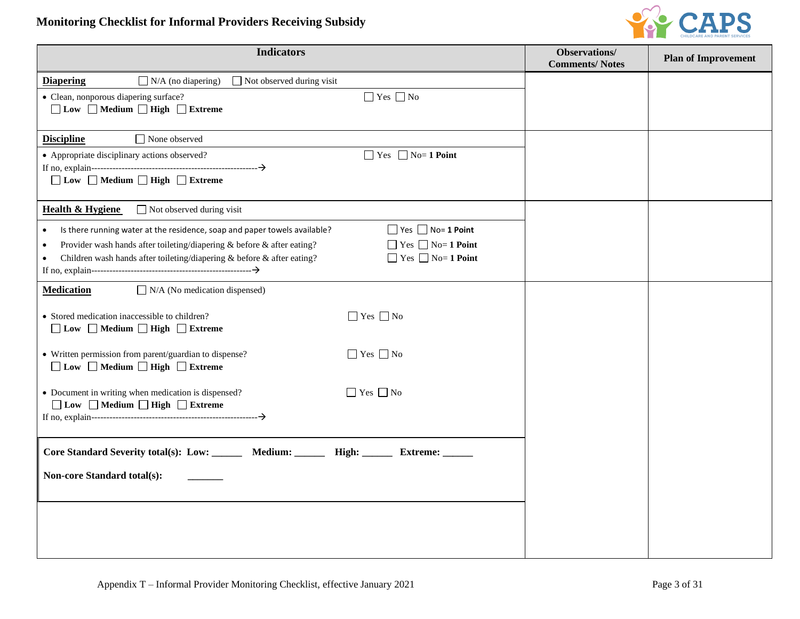## **Monitoring Checklist for Informal Providers Receiving Subsidy**



| <b>Indicators</b>                                                                                                                                                                                                                                                                                                                                                       | Observations/<br><b>Comments/Notes</b> | <b>Plan of Improvement</b> |
|-------------------------------------------------------------------------------------------------------------------------------------------------------------------------------------------------------------------------------------------------------------------------------------------------------------------------------------------------------------------------|----------------------------------------|----------------------------|
| $\Box$ N/A (no diapering)<br><b>Diapering</b><br>$\Box$ Not observed during visit                                                                                                                                                                                                                                                                                       |                                        |                            |
| $\Box$ Yes $\Box$ No<br>• Clean, nonporous diapering surface?<br>$\Box$ Low $\Box$ Medium $\Box$ High $\Box$ Extreme                                                                                                                                                                                                                                                    |                                        |                            |
| $\Box$ None observed<br><b>Discipline</b>                                                                                                                                                                                                                                                                                                                               |                                        |                            |
| • Appropriate disciplinary actions observed?<br>$\Box$ Yes $\Box$ No= 1 Point<br>□ Low □ Medium □ High □ Extreme                                                                                                                                                                                                                                                        |                                        |                            |
| <b>Health &amp; Hygiene</b><br>$\Box$ Not observed during visit                                                                                                                                                                                                                                                                                                         |                                        |                            |
| $\Box$ Yes $\Box$ No= 1 Point<br>Is there running water at the residence, soap and paper towels available?<br>$\bullet$<br>$\Box$ Yes $\Box$ No= 1 Point<br>Provider wash hands after toileting/diapering & before & after eating?<br>$\bullet$<br>$\Box$ Yes $\Box$ No= 1 Point<br>Children wash hands after toileting/diapering & before & after eating?<br>$\bullet$ |                                        |                            |
| <b>Medication</b><br>$\Box$ N/A (No medication dispensed)                                                                                                                                                                                                                                                                                                               |                                        |                            |
| $\Box$ Yes $\Box$ No<br>• Stored medication inaccessible to children?<br>□ Low □ Medium □ High □ Extreme                                                                                                                                                                                                                                                                |                                        |                            |
| $\Box$ Yes $\Box$ No<br>• Written permission from parent/guardian to dispense?<br>$\Box$ Low $\Box$ Medium $\Box$ High $\Box$ Extreme                                                                                                                                                                                                                                   |                                        |                            |
| $\Box$ Yes $\Box$ No<br>• Document in writing when medication is dispensed?<br>$\Box$ Low $\Box$ Medium $\Box$ High $\Box$ Extreme                                                                                                                                                                                                                                      |                                        |                            |
| Core Standard Severity total(s): Low: _______ Medium: ______ High: ______ Extreme: _____                                                                                                                                                                                                                                                                                |                                        |                            |
| <b>Non-core Standard total(s):</b>                                                                                                                                                                                                                                                                                                                                      |                                        |                            |
|                                                                                                                                                                                                                                                                                                                                                                         |                                        |                            |
|                                                                                                                                                                                                                                                                                                                                                                         |                                        |                            |
|                                                                                                                                                                                                                                                                                                                                                                         |                                        |                            |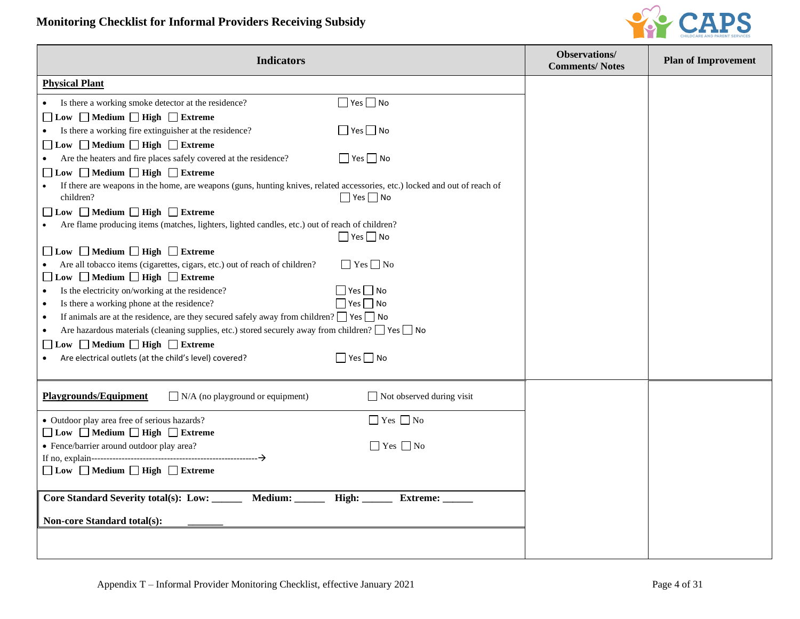

| <b>Indicators</b>                                                                                                          |                                  | Observations/<br><b>Comments/Notes</b> | <b>Plan of Improvement</b> |
|----------------------------------------------------------------------------------------------------------------------------|----------------------------------|----------------------------------------|----------------------------|
| <b>Physical Plant</b>                                                                                                      |                                  |                                        |                            |
| Is there a working smoke detector at the residence?                                                                        | $\Box$ Yes $\Box$ No             |                                        |                            |
| $\Box$ Low $\Box$ Medium $\Box$ High $\Box$ Extreme                                                                        |                                  |                                        |                            |
| Is there a working fire extinguisher at the residence?                                                                     | $\Box$ Yes $\Box$ No             |                                        |                            |
| □ Low □ Medium □ High □ Extreme                                                                                            |                                  |                                        |                            |
| Are the heaters and fire places safely covered at the residence?<br>$\bullet$                                              | $\Box$ Yes $\Box$ No             |                                        |                            |
| □ Low □ Medium □ High □ Extreme                                                                                            |                                  |                                        |                            |
| If there are weapons in the home, are weapons (guns, hunting knives, related accessories, etc.) locked and out of reach of |                                  |                                        |                            |
| children?                                                                                                                  | $\Box$ Yes $\Box$ No             |                                        |                            |
| □ Low □ Medium □ High □ Extreme                                                                                            |                                  |                                        |                            |
| Are flame producing items (matches, lighters, lighted candles, etc.) out of reach of children?                             |                                  |                                        |                            |
|                                                                                                                            | $\Box$ Yes $\Box$ No             |                                        |                            |
| □ Low □ Medium □ High □ Extreme                                                                                            |                                  |                                        |                            |
| Are all tobacco items (cigarettes, cigars, etc.) out of reach of children?                                                 | $\Box$ Yes $\Box$ No             |                                        |                            |
| □ Low □ Medium □ High □ Extreme                                                                                            |                                  |                                        |                            |
| Is the electricity on/working at the residence?<br>$\bullet$                                                               | $\Box$ Yes $\Box$ No             |                                        |                            |
| Is there a working phone at the residence?<br>$\bullet$                                                                    | $\Box$ Yes $\Box$ No             |                                        |                            |
| If animals are at the residence, are they secured safely away from children? $\Box$ Yes $\Box$ No<br>$\bullet$             |                                  |                                        |                            |
| Are hazardous materials (cleaning supplies, etc.) stored securely away from children? $\Box$ Yes $\Box$ No<br>$\bullet$    |                                  |                                        |                            |
| $\Box$ Low $\Box$ Medium $\Box$ High $\Box$ Extreme                                                                        |                                  |                                        |                            |
| Are electrical outlets (at the child's level) covered?<br>$\bullet$                                                        | $\Box$ Yes $\Box$ No             |                                        |                            |
|                                                                                                                            |                                  |                                        |                            |
| <b>Playgrounds/Equipment</b><br>$\Box$ N/A (no playground or equipment)                                                    | $\Box$ Not observed during visit |                                        |                            |
| • Outdoor play area free of serious hazards?                                                                               | $\Box$ Yes $\Box$ No             |                                        |                            |
| □ Low □ Medium □ High □ Extreme                                                                                            |                                  |                                        |                            |
| • Fence/barrier around outdoor play area?                                                                                  | $\Box$ Yes $\Box$ No             |                                        |                            |
|                                                                                                                            |                                  |                                        |                            |
| □ Low □ Medium □ High □ Extreme                                                                                            |                                  |                                        |                            |
|                                                                                                                            |                                  |                                        |                            |
| Medium:<br>Core Standard Severity total(s): Low: ______                                                                    | High:<br>Extreme:                |                                        |                            |
| <b>Non-core Standard total(s):</b>                                                                                         |                                  |                                        |                            |
|                                                                                                                            |                                  |                                        |                            |
|                                                                                                                            |                                  |                                        |                            |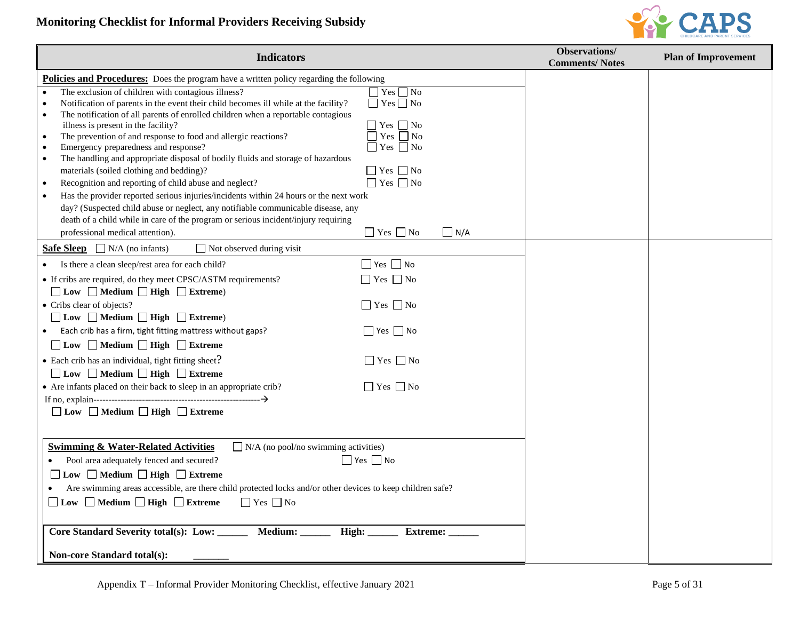## **Monitoring Checklist for Informal Providers Receiving Subsidy**



| <b>Indicators</b>                                                                                                                                                                                                                                                                                                                                                                                                                                                                                                                                                                                                                                                                                                                                                                                                                                                                                                                                                                                                                                                | <b>Observations/</b><br><b>Comments/Notes</b> | <b>Plan of Improvement</b> |
|------------------------------------------------------------------------------------------------------------------------------------------------------------------------------------------------------------------------------------------------------------------------------------------------------------------------------------------------------------------------------------------------------------------------------------------------------------------------------------------------------------------------------------------------------------------------------------------------------------------------------------------------------------------------------------------------------------------------------------------------------------------------------------------------------------------------------------------------------------------------------------------------------------------------------------------------------------------------------------------------------------------------------------------------------------------|-----------------------------------------------|----------------------------|
| Policies and Procedures: Does the program have a written policy regarding the following                                                                                                                                                                                                                                                                                                                                                                                                                                                                                                                                                                                                                                                                                                                                                                                                                                                                                                                                                                          |                                               |                            |
| $\Box$ Yes $\Box$ No<br>The exclusion of children with contagious illness?<br>$\Box$ Yes $\Box$ No<br>Notification of parents in the event their child becomes ill while at the facility?<br>$\bullet$<br>The notification of all parents of enrolled children when a reportable contagious<br>$\Box$ Yes $\Box$ No<br>illness is present in the facility?<br>The prevention of and response to food and allergic reactions?<br>    Yes     No<br>$\bullet$<br>Emergency preparedness and response?<br>$\Box$ Yes $\Box$ No<br>The handling and appropriate disposal of bodily fluids and storage of hazardous<br>$\bullet$<br>$\Box$ Yes $\Box$ No<br>materials (soiled clothing and bedding)?<br>$\Box$ Yes $\Box$ No<br>Recognition and reporting of child abuse and neglect?<br>$\bullet$<br>Has the provider reported serious injuries/incidents within 24 hours or the next work<br>day? (Suspected child abuse or neglect, any notifiable communicable disease, any<br>death of a child while in care of the program or serious incident/injury requiring |                                               |                            |
| $\Box$ Yes $\Box$ No<br>$\Box$ N/A<br>professional medical attention).                                                                                                                                                                                                                                                                                                                                                                                                                                                                                                                                                                                                                                                                                                                                                                                                                                                                                                                                                                                           |                                               |                            |
| <b>Safe Sleep</b> $\Box$ N/A (no infants)<br>$\Box$ Not observed during visit                                                                                                                                                                                                                                                                                                                                                                                                                                                                                                                                                                                                                                                                                                                                                                                                                                                                                                                                                                                    |                                               |                            |
| $\Box$ Yes $\Box$ No<br>Is there a clean sleep/rest area for each child?                                                                                                                                                                                                                                                                                                                                                                                                                                                                                                                                                                                                                                                                                                                                                                                                                                                                                                                                                                                         |                                               |                            |
| $\Box$ Yes $\Box$ No<br>• If cribs are required, do they meet CPSC/ASTM requirements?                                                                                                                                                                                                                                                                                                                                                                                                                                                                                                                                                                                                                                                                                                                                                                                                                                                                                                                                                                            |                                               |                            |
| □ Low □ Medium □ High □ Extreme)                                                                                                                                                                                                                                                                                                                                                                                                                                                                                                                                                                                                                                                                                                                                                                                                                                                                                                                                                                                                                                 |                                               |                            |
| $\Box$ Yes $\Box$ No<br>• Cribs clear of objects?                                                                                                                                                                                                                                                                                                                                                                                                                                                                                                                                                                                                                                                                                                                                                                                                                                                                                                                                                                                                                |                                               |                            |
| $\Box$ Low $\Box$ Medium $\Box$ High $\Box$ Extreme)                                                                                                                                                                                                                                                                                                                                                                                                                                                                                                                                                                                                                                                                                                                                                                                                                                                                                                                                                                                                             |                                               |                            |
| $\Box$ Yes $\Box$ No<br>Each crib has a firm, tight fitting mattress without gaps?                                                                                                                                                                                                                                                                                                                                                                                                                                                                                                                                                                                                                                                                                                                                                                                                                                                                                                                                                                               |                                               |                            |
| □ Low □ Medium □ High □ Extreme                                                                                                                                                                                                                                                                                                                                                                                                                                                                                                                                                                                                                                                                                                                                                                                                                                                                                                                                                                                                                                  |                                               |                            |
| $\Box$ Yes $\Box$ No<br>• Each crib has an individual, tight fitting sheet?                                                                                                                                                                                                                                                                                                                                                                                                                                                                                                                                                                                                                                                                                                                                                                                                                                                                                                                                                                                      |                                               |                            |
| □ Low □ Medium □ High □ Extreme                                                                                                                                                                                                                                                                                                                                                                                                                                                                                                                                                                                                                                                                                                                                                                                                                                                                                                                                                                                                                                  |                                               |                            |
| • Are infants placed on their back to sleep in an appropriate crib?<br>$\Box$ Yes $\Box$ No                                                                                                                                                                                                                                                                                                                                                                                                                                                                                                                                                                                                                                                                                                                                                                                                                                                                                                                                                                      |                                               |                            |
| $\Box$ Low $\Box$ Medium $\Box$ High $\Box$ Extreme                                                                                                                                                                                                                                                                                                                                                                                                                                                                                                                                                                                                                                                                                                                                                                                                                                                                                                                                                                                                              |                                               |                            |
|                                                                                                                                                                                                                                                                                                                                                                                                                                                                                                                                                                                                                                                                                                                                                                                                                                                                                                                                                                                                                                                                  |                                               |                            |
| <b>Swimming &amp; Water-Related Activities</b><br>$\Box$ N/A (no pool/no swimming activities)<br>$\Box$ Yes $\Box$ No<br>Pool area adequately fenced and secured?<br>$\Box$ Low $\Box$ Medium $\Box$ High $\Box$ Extreme<br>Are swimming areas accessible, are there child protected locks and/or other devices to keep children safe?<br>$\Box$ Low $\Box$ Medium $\Box$ High $\Box$ Extreme<br>$\Box$ Yes $\Box$ No<br>Core Standard Severity total(s): Low: _____<br>Medium: _<br>High:<br><b>Extreme:</b>                                                                                                                                                                                                                                                                                                                                                                                                                                                                                                                                                    |                                               |                            |
| <b>Non-core Standard total(s):</b>                                                                                                                                                                                                                                                                                                                                                                                                                                                                                                                                                                                                                                                                                                                                                                                                                                                                                                                                                                                                                               |                                               |                            |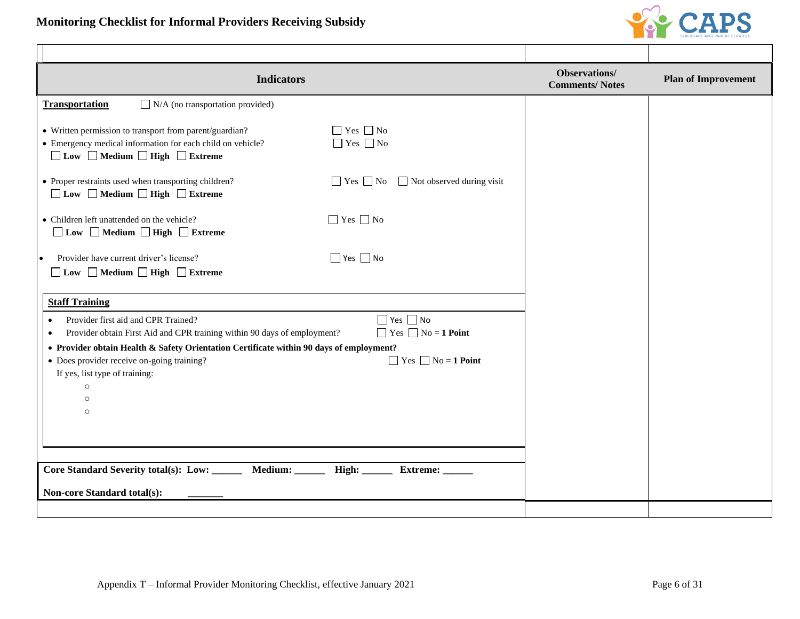

| <b>Indicators</b>                                                                                                                                        |                                                          | Observations/<br><b>Comments/Notes</b> | <b>Plan of Improvement</b> |
|----------------------------------------------------------------------------------------------------------------------------------------------------------|----------------------------------------------------------|----------------------------------------|----------------------------|
| <b>Transportation</b><br>$\Box$ N/A (no transportation provided)                                                                                         |                                                          |                                        |                            |
| • Written permission to transport from parent/guardian?<br>• Emergency medical information for each child on vehicle?<br>□ Low □ Medium □ High □ Extreme | $\Box$ Yes $\Box$ No<br>$\Box$ Yes $\Box$ No             |                                        |                            |
| • Proper restraints used when transporting children?<br>□ Low □ Medium □ High □ Extreme                                                                  | $\Box$ Not observed during visit<br>$\Box$ Yes $\Box$ No |                                        |                            |
| • Children left unattended on the vehicle?<br>□ Low □ Medium □ High □ Extreme                                                                            | $\Box$ Yes $\Box$ No                                     |                                        |                            |
| Provider have current driver's license?<br>□ Low □ Medium □ High □ Extreme                                                                               | $\Box$ Yes $\Box$ No                                     |                                        |                            |
| <b>Staff Training</b>                                                                                                                                    |                                                          |                                        |                            |
| Provider first aid and CPR Trained?<br>$\bullet$<br>Provider obtain First Aid and CPR training within 90 days of employment?<br>$\bullet$                | $\Box$ Yes $\Box$ No<br>$\Box$ Yes $\Box$ No = 1 Point   |                                        |                            |
| • Provider obtain Health & Safety Orientation Certificate within 90 days of employment?                                                                  |                                                          |                                        |                            |
| • Does provider receive on-going training?<br>If yes, list type of training:                                                                             | $\Box$ Yes $\Box$ No = 1 Point                           |                                        |                            |
| $\circ$                                                                                                                                                  |                                                          |                                        |                            |
| $\circ$<br>$\circ$                                                                                                                                       |                                                          |                                        |                            |
|                                                                                                                                                          |                                                          |                                        |                            |
|                                                                                                                                                          |                                                          |                                        |                            |
|                                                                                                                                                          |                                                          |                                        |                            |
| Core Standard Severity total(s): Low: ______<br>Medium: ______                                                                                           | High:<br>Extreme:                                        |                                        |                            |
| <b>Non-core Standard total(s):</b>                                                                                                                       |                                                          |                                        |                            |
|                                                                                                                                                          |                                                          |                                        |                            |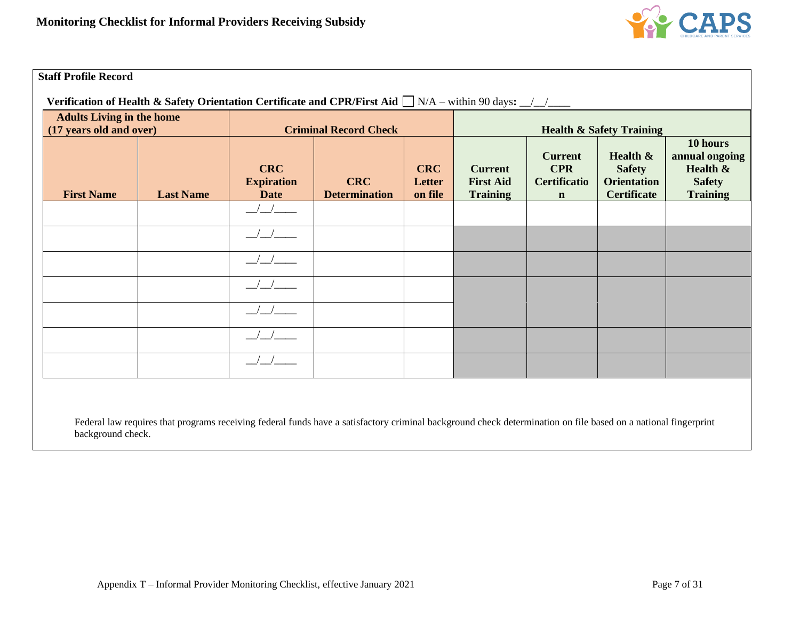

#### **Staff Profile Record**

 **Verification of Health & Safety Orientation Certificate and CPR/First Aid**  $\Box$  N/A – within 90 days: \_\_/\_\_/\_\_\_

| <b>Adults Living in the home</b><br>(17 years old and over) |                  | <b>Criminal Record Check</b>                   |                                    |                                 | <b>Health &amp; Safety Training</b>                   |                                                                    |                                                                          |                                                                            |
|-------------------------------------------------------------|------------------|------------------------------------------------|------------------------------------|---------------------------------|-------------------------------------------------------|--------------------------------------------------------------------|--------------------------------------------------------------------------|----------------------------------------------------------------------------|
| <b>First Name</b>                                           | <b>Last Name</b> | <b>CRC</b><br><b>Expiration</b><br><b>Date</b> | <b>CRC</b><br><b>Determination</b> | <b>CRC</b><br>Letter<br>on file | <b>Current</b><br><b>First Aid</b><br><b>Training</b> | <b>Current</b><br><b>CPR</b><br><b>Certificatio</b><br>$\mathbf n$ | Health $\&$<br><b>Safety</b><br><b>Orientation</b><br><b>Certificate</b> | 10 hours<br>annual ongoing<br>Health &<br><b>Safety</b><br><b>Training</b> |
|                                                             |                  |                                                |                                    |                                 |                                                       |                                                                    |                                                                          |                                                                            |
|                                                             |                  |                                                |                                    |                                 |                                                       |                                                                    |                                                                          |                                                                            |
|                                                             |                  |                                                |                                    |                                 |                                                       |                                                                    |                                                                          |                                                                            |
|                                                             |                  |                                                |                                    |                                 |                                                       |                                                                    |                                                                          |                                                                            |
|                                                             |                  |                                                |                                    |                                 |                                                       |                                                                    |                                                                          |                                                                            |
|                                                             |                  |                                                |                                    |                                 |                                                       |                                                                    |                                                                          |                                                                            |
|                                                             |                  |                                                |                                    |                                 |                                                       |                                                                    |                                                                          |                                                                            |

Federal law requires that programs receiving federal funds have a satisfactory criminal background check determination on file based on a national fingerprint background check.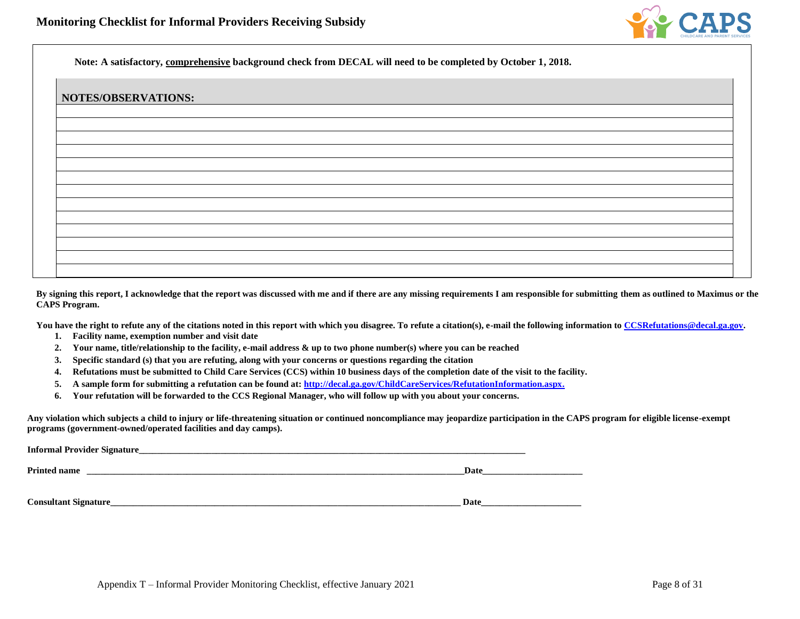

**Note: A satisfactory, comprehensive background check from DECAL will need to be completed by October 1, 2018.**

| NOTES/OBSERVATIONS: |  |  |
|---------------------|--|--|
|                     |  |  |
|                     |  |  |
|                     |  |  |
|                     |  |  |
|                     |  |  |
|                     |  |  |
|                     |  |  |
|                     |  |  |
|                     |  |  |
|                     |  |  |

**By signing this report, I acknowledge that the report was discussed with me and if there are any missing requirements I am responsible for submitting them as outlined to Maximus or the CAPS Program.**

You have the right to refute any of the citations noted in this report with which you disagree. To refute a citation(s), e-mail the following information t[o CCSRefutations@decal.ga.gov.](mailto:CCSRefutations@decal.ga.gov)

- **1. Facility name, exemption number and visit date**
- **2. Your name, title/relationship to the facility, e-mail address & up to two phone number(s) where you can be reached**
- **3. Specific standard (s) that you are refuting, along with your concerns or questions regarding the citation**
- **4. Refutations must be submitted to Child Care Services (CCS) within 10 business days of the completion date of the visit to the facility.**
- **5. A sample form for submitting a refutation can be found at[: http://decal.ga.gov/ChildCareServices/RefutationInformation.aspx.](http://decal.ga.gov/ChildCareServices/RefutationInformation.aspx)**
- **6. Your refutation will be forwarded to the CCS Regional Manager, who will follow up with you about your concerns.**

**Any violation which subjects a child to injury or life-threatening situation or continued noncompliance may jeopardize participation in the CAPS program for eligible license-exempt programs (government-owned/operated facilities and day camps).**

| <b>Informal Provider Signature_</b> |      |
|-------------------------------------|------|
| <b>Printed name</b>                 | Date |
|                                     |      |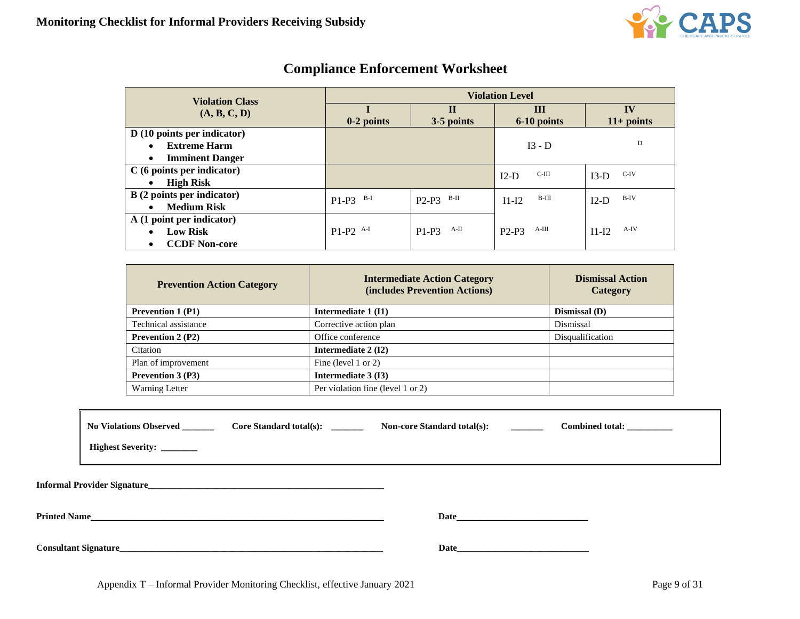

| <b>Violation Class</b>               | <b>Violation Level</b> |                 |                   |                   |  |
|--------------------------------------|------------------------|-----------------|-------------------|-------------------|--|
| (A, B, C, D)                         |                        | $\mathbf{I}$    | $\mathbf{III}$    | IV                |  |
|                                      | $0-2$ points           | 3-5 points      | 6-10 points       | $11+$ points      |  |
| $D(10 \text{ points per indicator})$ |                        |                 |                   |                   |  |
| <b>Extreme Harm</b><br>$\bullet$     |                        |                 | $I3 - D$          | D                 |  |
| <b>Imminent Danger</b><br>$\bullet$  |                        |                 |                   |                   |  |
| $C(6 \text{ points per indicator})$  |                        |                 | $C-III$<br>$I2-D$ | C-IV<br>$I3-D$    |  |
| <b>High Risk</b><br>$\bullet$        |                        |                 |                   |                   |  |
| <b>B</b> (2 points per indicator)    | B-I<br>$P1-P3$         | B-II<br>$P2-P3$ | B-III<br>$I1-I2$  | $B-IV$<br>$I2-D$  |  |
| <b>Medium Risk</b><br>$\bullet$      |                        |                 |                   |                   |  |
| A (1 point per indicator)            |                        |                 |                   |                   |  |
| <b>Low Risk</b><br>$\bullet$         | $P1-P2$ <sup>A-I</sup> | A-II<br>$P1-P3$ | A-III<br>$P2-P3$  | $A-IV$<br>$I1-I2$ |  |
| <b>CCDF Non-core</b><br>$\bullet$    |                        |                 |                   |                   |  |

# **Compliance Enforcement Worksheet**

| <b>Prevention Action Category</b> | <b>Intermediate Action Category</b><br>(includes Prevention Actions) | <b>Dismissal Action</b><br>Category |
|-----------------------------------|----------------------------------------------------------------------|-------------------------------------|
| <b>Prevention 1 (P1)</b>          | Intermediate 1 (I1)                                                  | Dismissal (D)                       |
| Technical assistance              | Corrective action plan                                               | Dismissal                           |
| <b>Prevention 2 (P2)</b>          | Office conference                                                    | Disqualification                    |
| Citation                          | Intermediate 2 (I2)                                                  |                                     |
| Plan of improvement               | Fine (level 1 or 2)                                                  |                                     |
| <b>Prevention 3 (P3)</b>          | Intermediate 3 (13)                                                  |                                     |
| <b>Warning Letter</b>             | Per violation fine (level 1 or 2)                                    |                                     |

|                     | Highest Severity: ______     | No Violations Observed Core Standard total(s): ______                                                            | <b>Non-core Standard total(s):</b> | Combined total: |  |
|---------------------|------------------------------|------------------------------------------------------------------------------------------------------------------|------------------------------------|-----------------|--|
|                     |                              |                                                                                                                  |                                    |                 |  |
| <b>Printed Name</b> |                              | and the control of the control of the control of the control of the control of the control of the control of the |                                    |                 |  |
|                     | <b>Consultant Signature_</b> |                                                                                                                  | Date                               |                 |  |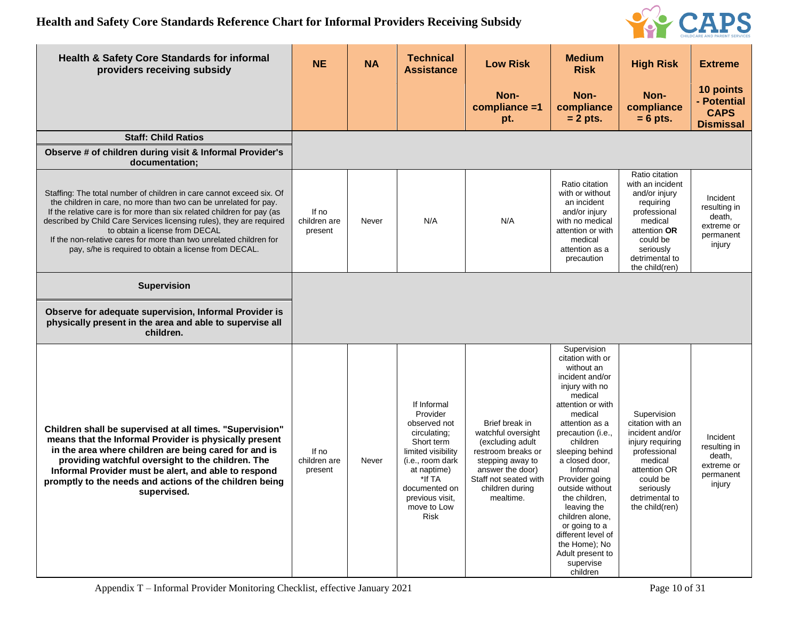

| <b>Health &amp; Safety Core Standards for informal</b><br>providers receiving subsidy                                                                                                                                                                                                                                                                                                                                                                       | <b>NE</b>                        | <b>NA</b> | <b>Technical</b><br><b>Assistance</b>                                                                                                                                                               | <b>Low Risk</b>                                                                                                                                                                 | <b>Medium</b><br><b>Risk</b>                                                                                                                                                                                                                                                                                                                                                                                                   | <b>High Risk</b>                                                                                                                                                               | <b>Extreme</b>                                                          |
|-------------------------------------------------------------------------------------------------------------------------------------------------------------------------------------------------------------------------------------------------------------------------------------------------------------------------------------------------------------------------------------------------------------------------------------------------------------|----------------------------------|-----------|-----------------------------------------------------------------------------------------------------------------------------------------------------------------------------------------------------|---------------------------------------------------------------------------------------------------------------------------------------------------------------------------------|--------------------------------------------------------------------------------------------------------------------------------------------------------------------------------------------------------------------------------------------------------------------------------------------------------------------------------------------------------------------------------------------------------------------------------|--------------------------------------------------------------------------------------------------------------------------------------------------------------------------------|-------------------------------------------------------------------------|
|                                                                                                                                                                                                                                                                                                                                                                                                                                                             |                                  |           |                                                                                                                                                                                                     | Non-<br>compliance =1<br>pt.                                                                                                                                                    | Non-<br>compliance<br>$= 2$ pts.                                                                                                                                                                                                                                                                                                                                                                                               | Non-<br>compliance<br>$= 6$ pts.                                                                                                                                               | 10 points<br>- Potential<br><b>CAPS</b><br><b>Dismissal</b>             |
| <b>Staff: Child Ratios</b>                                                                                                                                                                                                                                                                                                                                                                                                                                  |                                  |           |                                                                                                                                                                                                     |                                                                                                                                                                                 |                                                                                                                                                                                                                                                                                                                                                                                                                                |                                                                                                                                                                                |                                                                         |
| Observe # of children during visit & Informal Provider's<br>documentation;                                                                                                                                                                                                                                                                                                                                                                                  |                                  |           |                                                                                                                                                                                                     |                                                                                                                                                                                 |                                                                                                                                                                                                                                                                                                                                                                                                                                |                                                                                                                                                                                |                                                                         |
| Staffing: The total number of children in care cannot exceed six. Of<br>the children in care, no more than two can be unrelated for pay.<br>If the relative care is for more than six related children for pay (as<br>described by Child Care Services licensing rules), they are required<br>to obtain a license from DECAL<br>If the non-relative cares for more than two unrelated children for<br>pay, s/he is required to obtain a license from DECAL. | If no<br>children are<br>present | Never     | N/A                                                                                                                                                                                                 | N/A                                                                                                                                                                             | Ratio citation<br>with or without<br>an incident<br>and/or injury<br>with no medical<br>attention or with<br>medical<br>attention as a<br>precaution                                                                                                                                                                                                                                                                           | Ratio citation<br>with an incident<br>and/or injury<br>requiring<br>professional<br>medical<br>attention OR<br>could be<br>seriously<br>detrimental to<br>the child(ren)       | Incident<br>resulting in<br>death,<br>extreme or<br>permanent<br>injury |
| <b>Supervision</b>                                                                                                                                                                                                                                                                                                                                                                                                                                          |                                  |           |                                                                                                                                                                                                     |                                                                                                                                                                                 |                                                                                                                                                                                                                                                                                                                                                                                                                                |                                                                                                                                                                                |                                                                         |
| Observe for adequate supervision, Informal Provider is<br>physically present in the area and able to supervise all<br>children.                                                                                                                                                                                                                                                                                                                             |                                  |           |                                                                                                                                                                                                     |                                                                                                                                                                                 |                                                                                                                                                                                                                                                                                                                                                                                                                                |                                                                                                                                                                                |                                                                         |
| Children shall be supervised at all times. "Supervision"<br>means that the Informal Provider is physically present<br>in the area where children are being cared for and is<br>providing watchful oversight to the children. The<br>Informal Provider must be alert, and able to respond<br>promptly to the needs and actions of the children being<br>supervised.                                                                                          | If no<br>children are<br>present | Never     | If Informal<br>Provider<br>observed not<br>circulating;<br>Short term<br>limited visibility<br>(i.e., room dark<br>at naptime)<br>*If TA<br>documented on<br>previous visit,<br>move to Low<br>Risk | Brief break in<br>watchful oversight<br>(excluding adult<br>restroom breaks or<br>stepping away to<br>answer the door)<br>Staff not seated with<br>children during<br>mealtime. | Supervision<br>citation with or<br>without an<br>incident and/or<br>injury with no<br>medical<br>attention or with<br>medical<br>attention as a<br>precaution (i.e.,<br>children<br>sleeping behind<br>a closed door.<br>Informal<br>Provider going<br>outside without<br>the children,<br>leaving the<br>children alone,<br>or going to a<br>different level of<br>the Home); No<br>Adult present to<br>supervise<br>children | Supervision<br>citation with an<br>incident and/or<br>injury requiring<br>professional<br>medical<br>attention OR<br>could be<br>seriously<br>detrimental to<br>the child(ren) | Incident<br>resulting in<br>death,<br>extreme or<br>permanent<br>injury |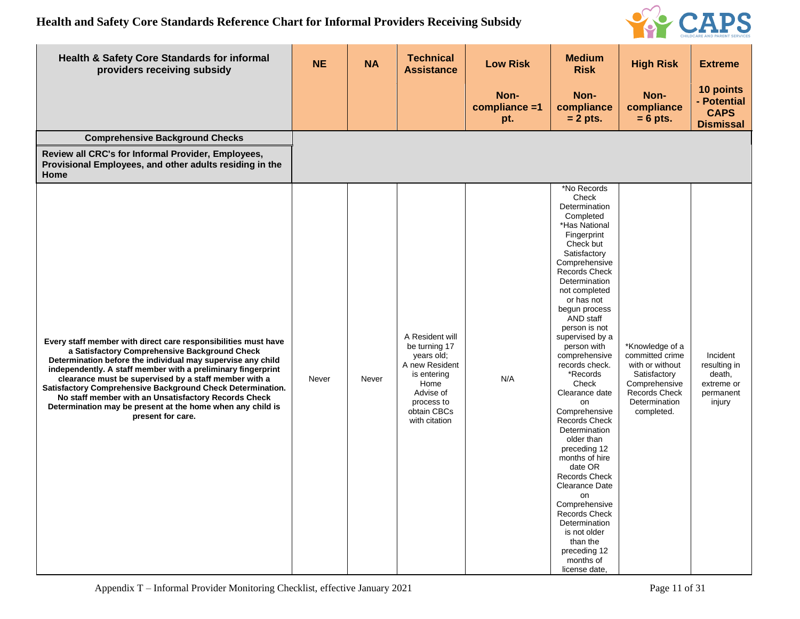

| <b>Health &amp; Safety Core Standards for informal</b><br>providers receiving subsidy                                                                                                                                                                                                                                                                                                                                                                                                                            | <b>NE</b> | <b>NA</b> | <b>Technical</b><br><b>Assistance</b>                                                                                                              | <b>Low Risk</b>              | <b>Medium</b><br><b>Risk</b>                                                                                                                                                                                                                                                                                                                                                                                                                                                                                                                                                                                                                                         | <b>High Risk</b>                                                                                                                              | <b>Extreme</b>                                                          |
|------------------------------------------------------------------------------------------------------------------------------------------------------------------------------------------------------------------------------------------------------------------------------------------------------------------------------------------------------------------------------------------------------------------------------------------------------------------------------------------------------------------|-----------|-----------|----------------------------------------------------------------------------------------------------------------------------------------------------|------------------------------|----------------------------------------------------------------------------------------------------------------------------------------------------------------------------------------------------------------------------------------------------------------------------------------------------------------------------------------------------------------------------------------------------------------------------------------------------------------------------------------------------------------------------------------------------------------------------------------------------------------------------------------------------------------------|-----------------------------------------------------------------------------------------------------------------------------------------------|-------------------------------------------------------------------------|
|                                                                                                                                                                                                                                                                                                                                                                                                                                                                                                                  |           |           |                                                                                                                                                    | Non-<br>compliance =1<br>pt. | Non-<br>compliance<br>$= 2$ pts.                                                                                                                                                                                                                                                                                                                                                                                                                                                                                                                                                                                                                                     | Non-<br>compliance<br>$= 6$ pts.                                                                                                              | 10 points<br>- Potential<br><b>CAPS</b><br><b>Dismissal</b>             |
| <b>Comprehensive Background Checks</b>                                                                                                                                                                                                                                                                                                                                                                                                                                                                           |           |           |                                                                                                                                                    |                              |                                                                                                                                                                                                                                                                                                                                                                                                                                                                                                                                                                                                                                                                      |                                                                                                                                               |                                                                         |
| Review all CRC's for Informal Provider, Employees,<br>Provisional Employees, and other adults residing in the<br>Home                                                                                                                                                                                                                                                                                                                                                                                            |           |           |                                                                                                                                                    |                              |                                                                                                                                                                                                                                                                                                                                                                                                                                                                                                                                                                                                                                                                      |                                                                                                                                               |                                                                         |
| Every staff member with direct care responsibilities must have<br>a Satisfactory Comprehensive Background Check<br>Determination before the individual may supervise any child<br>independently. A staff member with a preliminary fingerprint<br>clearance must be supervised by a staff member with a<br>Satisfactory Comprehensive Background Check Determination.<br>No staff member with an Unsatisfactory Records Check<br>Determination may be present at the home when any child is<br>present for care. | Never     | Never     | A Resident will<br>be turning 17<br>years old;<br>A new Resident<br>is entering<br>Home<br>Advise of<br>process to<br>obtain CBCs<br>with citation | N/A                          | *No Records<br>Check<br>Determination<br>Completed<br>*Has National<br>Fingerprint<br>Check but<br>Satisfactory<br>Comprehensive<br>Records Check<br>Determination<br>not completed<br>or has not<br>begun process<br>AND staff<br>person is not<br>supervised by a<br>person with<br>comprehensive<br>records check.<br>*Records<br>Check<br>Clearance date<br>on<br>Comprehensive<br><b>Records Check</b><br>Determination<br>older than<br>preceding 12<br>months of hire<br>date OR<br><b>Records Check</b><br>Clearance Date<br>on<br>Comprehensive<br>Records Check<br>Determination<br>is not older<br>than the<br>preceding 12<br>months of<br>license date, | *Knowledge of a<br>committed crime<br>with or without<br>Satisfactory<br>Comprehensive<br><b>Records Check</b><br>Determination<br>completed. | Incident<br>resulting in<br>death,<br>extreme or<br>permanent<br>injury |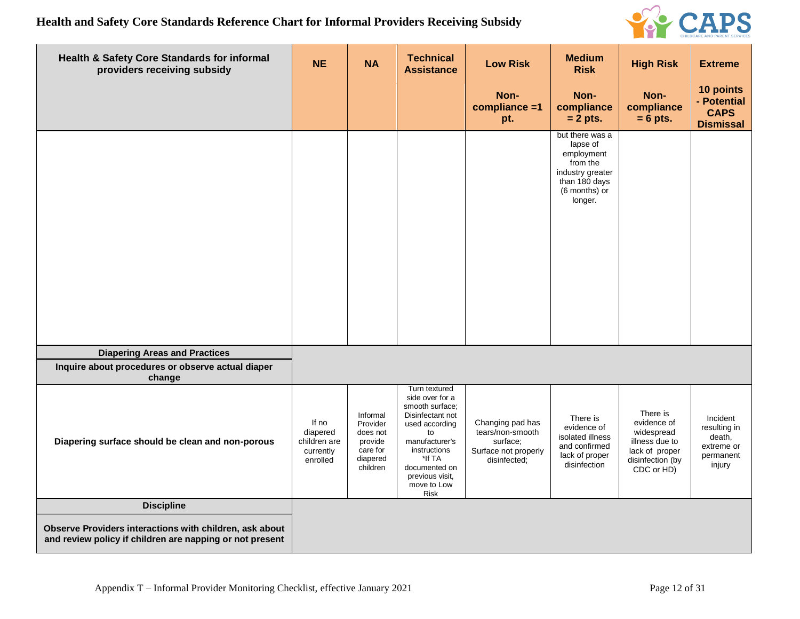

| Health & Safety Core Standards for informal<br>providers receiving subsidy                                          | <b>NE</b>                                                  | <b>NA</b>                                                                       | <b>Technical</b><br><b>Assistance</b>                                                                                                                                                                         | <b>Low Risk</b>                                                                          | <b>Medium</b><br><b>Risk</b>                                                                                           | <b>High Risk</b>                                                                                            | <b>Extreme</b>                                                          |
|---------------------------------------------------------------------------------------------------------------------|------------------------------------------------------------|---------------------------------------------------------------------------------|---------------------------------------------------------------------------------------------------------------------------------------------------------------------------------------------------------------|------------------------------------------------------------------------------------------|------------------------------------------------------------------------------------------------------------------------|-------------------------------------------------------------------------------------------------------------|-------------------------------------------------------------------------|
|                                                                                                                     |                                                            |                                                                                 |                                                                                                                                                                                                               | Non-<br>compliance =1<br>pt.                                                             | Non-<br>compliance<br>$= 2$ pts.                                                                                       | Non-<br>compliance<br>$= 6$ pts.                                                                            | 10 points<br>- Potential<br><b>CAPS</b><br><b>Dismissal</b>             |
|                                                                                                                     |                                                            |                                                                                 |                                                                                                                                                                                                               |                                                                                          | but there was a<br>lapse of<br>employment<br>from the<br>industry greater<br>than 180 days<br>(6 months) or<br>longer. |                                                                                                             |                                                                         |
| <b>Diapering Areas and Practices</b><br>Inquire about procedures or observe actual diaper                           |                                                            |                                                                                 |                                                                                                                                                                                                               |                                                                                          |                                                                                                                        |                                                                                                             |                                                                         |
| change<br>Diapering surface should be clean and non-porous                                                          | If no<br>diapered<br>children are<br>currently<br>enrolled | Informal<br>Provider<br>does not<br>provide<br>care for<br>diapered<br>children | Turn textured<br>side over for a<br>smooth surface:<br>Disinfectant not<br>used according<br>to<br>manufacturer's<br>instructions<br>*If TA<br>documented on<br>previous visit,<br>move to Low<br><b>Risk</b> | Changing pad has<br>tears/non-smooth<br>surface;<br>Surface not properly<br>disinfected; | There is<br>evidence of<br>isolated illness<br>and confirmed<br>lack of proper<br>disinfection                         | There is<br>evidence of<br>widespread<br>illness due to<br>lack of proper<br>disinfection (by<br>CDC or HD) | Incident<br>resulting in<br>death,<br>extreme or<br>permanent<br>injury |
| <b>Discipline</b>                                                                                                   |                                                            |                                                                                 |                                                                                                                                                                                                               |                                                                                          |                                                                                                                        |                                                                                                             |                                                                         |
| Observe Providers interactions with children, ask about<br>and review policy if children are napping or not present |                                                            |                                                                                 |                                                                                                                                                                                                               |                                                                                          |                                                                                                                        |                                                                                                             |                                                                         |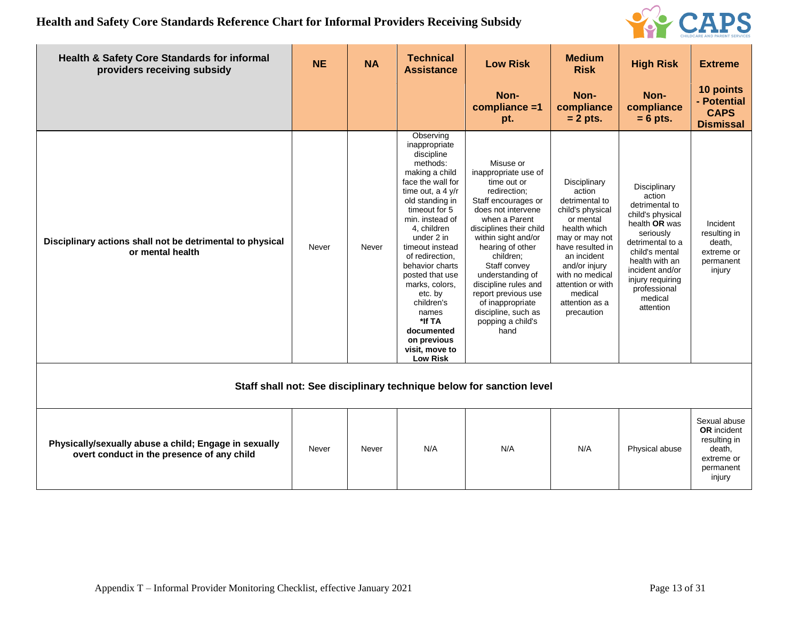

| <b>Health &amp; Safety Core Standards for informal</b><br>providers receiving subsidy               | <b>NE</b> | <b>NA</b> | <b>Technical</b><br><b>Assistance</b>                                                                                                                                                                                                                                                                                                                                                                              | <b>Low Risk</b>                                                                                                                                                                                                                                                                                                                                                              | <b>Medium</b><br><b>Risk</b>                                                                                                                                                                                                                       | <b>High Risk</b>                                                                                                                                                                                                                  | <b>Extreme</b>                                                                                    |  |  |  |
|-----------------------------------------------------------------------------------------------------|-----------|-----------|--------------------------------------------------------------------------------------------------------------------------------------------------------------------------------------------------------------------------------------------------------------------------------------------------------------------------------------------------------------------------------------------------------------------|------------------------------------------------------------------------------------------------------------------------------------------------------------------------------------------------------------------------------------------------------------------------------------------------------------------------------------------------------------------------------|----------------------------------------------------------------------------------------------------------------------------------------------------------------------------------------------------------------------------------------------------|-----------------------------------------------------------------------------------------------------------------------------------------------------------------------------------------------------------------------------------|---------------------------------------------------------------------------------------------------|--|--|--|
|                                                                                                     |           |           |                                                                                                                                                                                                                                                                                                                                                                                                                    | Non-<br>compliance =1<br>pt.                                                                                                                                                                                                                                                                                                                                                 | Non-<br>compliance<br>$= 2$ pts.                                                                                                                                                                                                                   | Non-<br>compliance<br>$= 6$ pts.                                                                                                                                                                                                  | 10 points<br>- Potential<br><b>CAPS</b><br><b>Dismissal</b>                                       |  |  |  |
| Disciplinary actions shall not be detrimental to physical<br>or mental health                       | Never     | Never     | Observing<br>inappropriate<br>discipline<br>methods:<br>making a child<br>face the wall for<br>time out, a $4 y/r$<br>old standing in<br>timeout for 5<br>min. instead of<br>4, children<br>under 2 in<br>timeout instead<br>of redirection,<br>behavior charts<br>posted that use<br>marks, colors,<br>etc. by<br>children's<br>names<br>*If TA<br>documented<br>on previous<br>visit, move to<br><b>Low Risk</b> | Misuse or<br>inappropriate use of<br>time out or<br>redirection;<br>Staff encourages or<br>does not intervene<br>when a Parent<br>disciplines their child<br>within sight and/or<br>hearing of other<br>children;<br>Staff convey<br>understanding of<br>discipline rules and<br>report previous use<br>of inappropriate<br>discipline, such as<br>popping a child's<br>hand | Disciplinary<br>action<br>detrimental to<br>child's physical<br>or mental<br>health which<br>may or may not<br>have resulted in<br>an incident<br>and/or injury<br>with no medical<br>attention or with<br>medical<br>attention as a<br>precaution | Disciplinary<br>action<br>detrimental to<br>child's physical<br>health OR was<br>seriously<br>detrimental to a<br>child's mental<br>health with an<br>incident and/or<br>injury requiring<br>professional<br>medical<br>attention | Incident<br>resulting in<br>death,<br>extreme or<br>permanent<br>injury                           |  |  |  |
| Staff shall not: See disciplinary technique below for sanction level                                |           |           |                                                                                                                                                                                                                                                                                                                                                                                                                    |                                                                                                                                                                                                                                                                                                                                                                              |                                                                                                                                                                                                                                                    |                                                                                                                                                                                                                                   |                                                                                                   |  |  |  |
| Physically/sexually abuse a child; Engage in sexually<br>overt conduct in the presence of any child | Never     | Never     | N/A                                                                                                                                                                                                                                                                                                                                                                                                                | N/A                                                                                                                                                                                                                                                                                                                                                                          | N/A                                                                                                                                                                                                                                                | Physical abuse                                                                                                                                                                                                                    | Sexual abuse<br><b>OR</b> incident<br>resulting in<br>death,<br>extreme or<br>permanent<br>injury |  |  |  |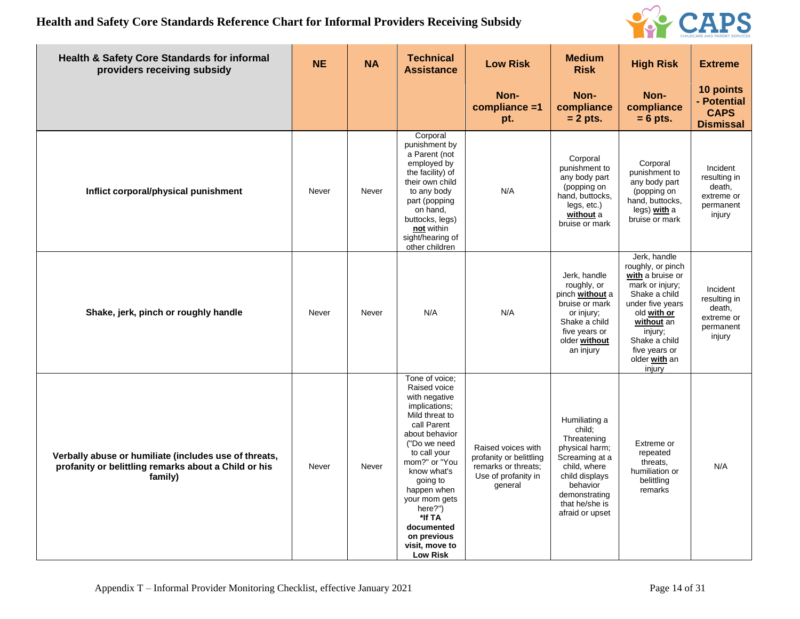

| Health & Safety Core Standards for informal<br>providers receiving subsidy                                               | <b>NE</b> | <b>NA</b> | <b>Technical</b><br><b>Assistance</b>                                                                                                                                                                                                                                                                                  | <b>Low Risk</b>                                                                                        | <b>Medium</b><br><b>Risk</b>                                                                                                                                                   | <b>High Risk</b>                                                                                                                                                                                                   | <b>Extreme</b>                                                          |
|--------------------------------------------------------------------------------------------------------------------------|-----------|-----------|------------------------------------------------------------------------------------------------------------------------------------------------------------------------------------------------------------------------------------------------------------------------------------------------------------------------|--------------------------------------------------------------------------------------------------------|--------------------------------------------------------------------------------------------------------------------------------------------------------------------------------|--------------------------------------------------------------------------------------------------------------------------------------------------------------------------------------------------------------------|-------------------------------------------------------------------------|
|                                                                                                                          |           |           |                                                                                                                                                                                                                                                                                                                        | Non-<br>compliance =1<br>pt.                                                                           | Non-<br>compliance<br>$= 2$ pts.                                                                                                                                               | Non-<br>compliance<br>$= 6$ pts.                                                                                                                                                                                   | 10 points<br>- Potential<br><b>CAPS</b><br><b>Dismissal</b>             |
| Inflict corporal/physical punishment                                                                                     | Never     | Never     | Corporal<br>punishment by<br>a Parent (not<br>employed by<br>the facility) of<br>their own child<br>to any body<br>part (popping<br>on hand,<br>buttocks, legs)<br>not within<br>sight/hearing of<br>other children                                                                                                    | N/A                                                                                                    | Corporal<br>punishment to<br>any body part<br>(popping on<br>hand, buttocks,<br>legs, etc.)<br>without a<br>bruise or mark                                                     | Corporal<br>punishment to<br>any body part<br>(popping on<br>hand, buttocks,<br>legs) with a<br>bruise or mark                                                                                                     | Incident<br>resulting in<br>death,<br>extreme or<br>permanent<br>injury |
| Shake, jerk, pinch or roughly handle                                                                                     | Never     | Never     | N/A                                                                                                                                                                                                                                                                                                                    | N/A                                                                                                    | Jerk, handle<br>roughly, or<br>pinch without a<br>bruise or mark<br>or injury;<br>Shake a child<br>five years or<br>older without<br>an injury                                 | Jerk, handle<br>roughly, or pinch<br>with a bruise or<br>mark or injury;<br>Shake a child<br>under five years<br>old with or<br>without an<br>injury;<br>Shake a child<br>five years or<br>older with an<br>injury | Incident<br>resulting in<br>death,<br>extreme or<br>permanent<br>injury |
| Verbally abuse or humiliate (includes use of threats,<br>profanity or belittling remarks about a Child or his<br>family) | Never     | Never     | Tone of voice:<br>Raised voice<br>with negative<br>implications;<br>Mild threat to<br>call Parent<br>about behavior<br>("Do we need<br>to call your<br>mom?" or "You<br>know what's<br>going to<br>happen when<br>your mom gets<br>here?")<br>*If TA<br>documented<br>on previous<br>visit, move to<br><b>Low Risk</b> | Raised voices with<br>profanity or belittling<br>remarks or threats;<br>Use of profanity in<br>general | Humiliating a<br>child;<br>Threatening<br>physical harm;<br>Screaming at a<br>child, where<br>child displays<br>behavior<br>demonstrating<br>that he/she is<br>afraid or upset | Extreme or<br>repeated<br>threats.<br>humiliation or<br>belittling<br>remarks                                                                                                                                      | N/A                                                                     |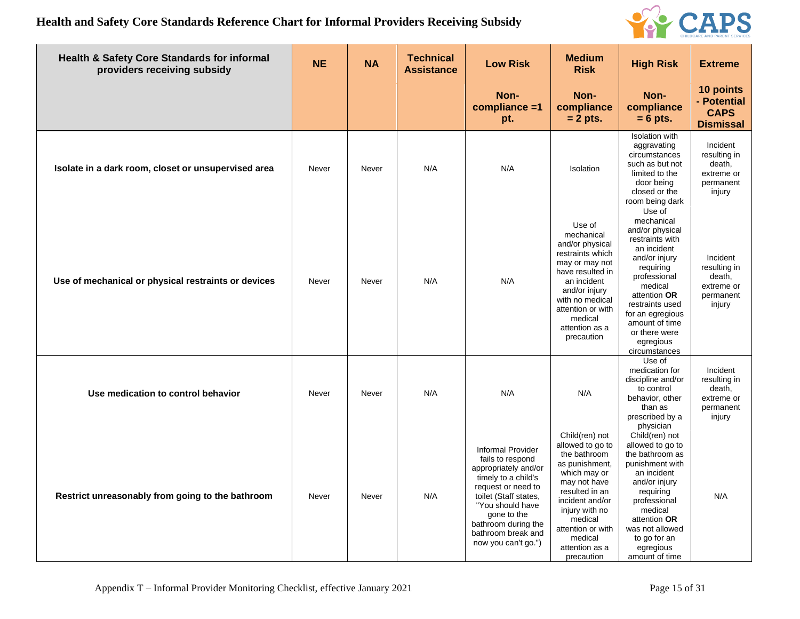

| <b>Health &amp; Safety Core Standards for informal</b><br>providers receiving subsidy | <b>NE</b> | <b>NA</b> | <b>Technical</b><br><b>Assistance</b> | <b>Low Risk</b>                                                                                                                                                                                                                                   | <b>Medium</b><br><b>Risk</b>                                                                                                                                                                                                           | <b>High Risk</b>                                                                                                                                                                                                                                           | <b>Extreme</b>                                                          |
|---------------------------------------------------------------------------------------|-----------|-----------|---------------------------------------|---------------------------------------------------------------------------------------------------------------------------------------------------------------------------------------------------------------------------------------------------|----------------------------------------------------------------------------------------------------------------------------------------------------------------------------------------------------------------------------------------|------------------------------------------------------------------------------------------------------------------------------------------------------------------------------------------------------------------------------------------------------------|-------------------------------------------------------------------------|
|                                                                                       |           |           |                                       | Non-<br>compliance =1<br>pt.                                                                                                                                                                                                                      | Non-<br>compliance<br>$= 2$ pts.                                                                                                                                                                                                       | Non-<br>compliance<br>$= 6$ pts.                                                                                                                                                                                                                           | 10 points<br>- Potential<br><b>CAPS</b><br><b>Dismissal</b>             |
| Isolate in a dark room, closet or unsupervised area                                   | Never     | Never     | N/A                                   | N/A                                                                                                                                                                                                                                               | Isolation                                                                                                                                                                                                                              | <b>Isolation</b> with<br>aggravating<br>circumstances<br>such as but not<br>limited to the<br>door being<br>closed or the<br>room being dark                                                                                                               | Incident<br>resulting in<br>death,<br>extreme or<br>permanent<br>injury |
| Use of mechanical or physical restraints or devices                                   | Never     | Never     | N/A                                   | N/A                                                                                                                                                                                                                                               | Use of<br>mechanical<br>and/or physical<br>restraints which<br>may or may not<br>have resulted in<br>an incident<br>and/or injury<br>with no medical<br>attention or with<br>medical<br>attention as a<br>precaution                   | Use of<br>mechanical<br>and/or physical<br>restraints with<br>an incident<br>and/or injury<br>requiring<br>professional<br>medical<br>attention OR<br>restraints used<br>for an egregious<br>amount of time<br>or there were<br>egregious<br>circumstances | Incident<br>resulting in<br>death,<br>extreme or<br>permanent<br>injury |
| Use medication to control behavior                                                    | Never     | Never     | N/A                                   | N/A                                                                                                                                                                                                                                               | N/A                                                                                                                                                                                                                                    | Use of<br>medication for<br>discipline and/or<br>to control<br>behavior, other<br>than as<br>prescribed by a<br>physician                                                                                                                                  | Incident<br>resulting in<br>death,<br>extreme or<br>permanent<br>injury |
| Restrict unreasonably from going to the bathroom                                      | Never     | Never     | N/A                                   | <b>Informal Provider</b><br>fails to respond<br>appropriately and/or<br>timely to a child's<br>request or need to<br>toilet (Staff states,<br>"You should have<br>gone to the<br>bathroom during the<br>bathroom break and<br>now you can't go.") | Child(ren) not<br>allowed to go to<br>the bathroom<br>as punishment,<br>which may or<br>may not have<br>resulted in an<br>incident and/or<br>injury with no<br>medical<br>attention or with<br>medical<br>attention as a<br>precaution | Child(ren) not<br>allowed to go to<br>the bathroom as<br>punishment with<br>an incident<br>and/or injury<br>requiring<br>professional<br>medical<br>attention OR<br>was not allowed<br>to go for an<br>egregious<br>amount of time                         | N/A                                                                     |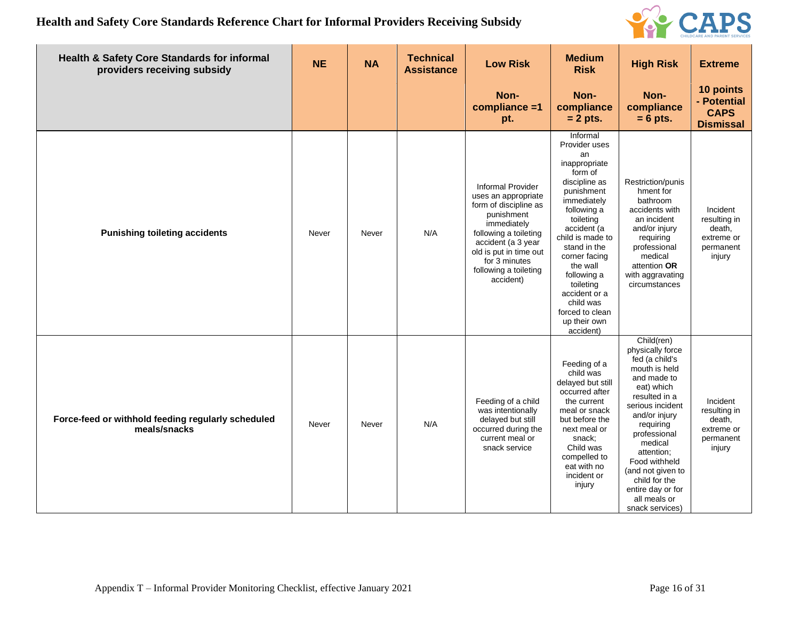

| Health & Safety Core Standards for informal<br>providers receiving subsidy | <b>NE</b> | <b>NA</b> | <b>Technical</b><br><b>Assistance</b> | <b>Low Risk</b>                                                                                                                                                                                                                       | <b>Medium</b><br><b>Risk</b>                                                                                                                                                                                                                                                                                                    | <b>High Risk</b>                                                                                                                                                                                                                                                                                                          | <b>Extreme</b>                                                          |
|----------------------------------------------------------------------------|-----------|-----------|---------------------------------------|---------------------------------------------------------------------------------------------------------------------------------------------------------------------------------------------------------------------------------------|---------------------------------------------------------------------------------------------------------------------------------------------------------------------------------------------------------------------------------------------------------------------------------------------------------------------------------|---------------------------------------------------------------------------------------------------------------------------------------------------------------------------------------------------------------------------------------------------------------------------------------------------------------------------|-------------------------------------------------------------------------|
|                                                                            |           |           |                                       | Non-<br>compliance =1<br>pt.                                                                                                                                                                                                          | Non-<br>compliance<br>$= 2$ pts.                                                                                                                                                                                                                                                                                                | Non-<br>compliance<br>$= 6$ pts.                                                                                                                                                                                                                                                                                          | 10 points<br>- Potential<br><b>CAPS</b><br><b>Dismissal</b>             |
| <b>Punishing toileting accidents</b>                                       | Never     | Never     | N/A                                   | <b>Informal Provider</b><br>uses an appropriate<br>form of discipline as<br>punishment<br>immediately<br>following a toileting<br>accident (a 3 year<br>old is put in time out<br>for 3 minutes<br>following a toileting<br>accident) | Informal<br>Provider uses<br>an<br>inappropriate<br>form of<br>discipline as<br>punishment<br>immediately<br>following a<br>toileting<br>accident (a<br>child is made to<br>stand in the<br>corner facing<br>the wall<br>following a<br>toileting<br>accident or a<br>child was<br>forced to clean<br>up their own<br>accident) | Restriction/punis<br>hment for<br>bathroom<br>accidents with<br>an incident<br>and/or injury<br>requiring<br>professional<br>medical<br>attention OR<br>with aggravating<br>circumstances                                                                                                                                 | Incident<br>resulting in<br>death,<br>extreme or<br>permanent<br>injury |
| Force-feed or withhold feeding regularly scheduled<br>meals/snacks         | Never     | Never     | N/A                                   | Feeding of a child<br>was intentionally<br>delayed but still<br>occurred during the<br>current meal or<br>snack service                                                                                                               | Feeding of a<br>child was<br>delayed but still<br>occurred after<br>the current<br>meal or snack<br>but before the<br>next meal or<br>snack;<br>Child was<br>compelled to<br>eat with no<br>incident or<br>injury                                                                                                               | Child(ren)<br>physically force<br>fed (a child's<br>mouth is held<br>and made to<br>eat) which<br>resulted in a<br>serious incident<br>and/or injury<br>requiring<br>professional<br>medical<br>attention;<br>Food withheld<br>(and not given to<br>child for the<br>entire day or for<br>all meals or<br>snack services) | Incident<br>resulting in<br>death,<br>extreme or<br>permanent<br>injury |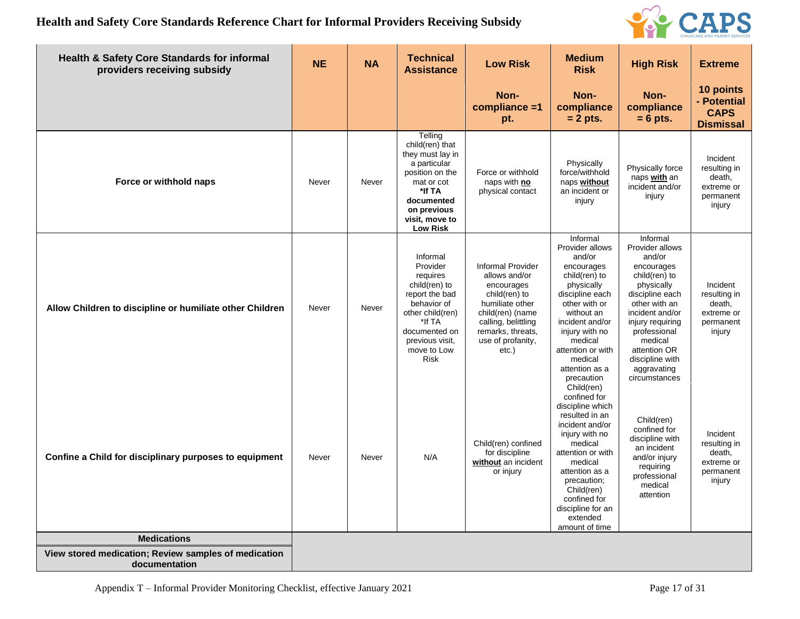

| Health & Safety Core Standards for informal<br>providers receiving subsidy | <b>NE</b> | <b>NA</b> | <b>Technical</b><br><b>Assistance</b>                                                                                                                                              | <b>Low Risk</b>                                                                                                                                                                              | <b>Medium</b><br><b>Risk</b>                                                                                                                                                                                                                                       | <b>High Risk</b>                                                                                                                                                                                                                                            | <b>Extreme</b>                                                          |
|----------------------------------------------------------------------------|-----------|-----------|------------------------------------------------------------------------------------------------------------------------------------------------------------------------------------|----------------------------------------------------------------------------------------------------------------------------------------------------------------------------------------------|--------------------------------------------------------------------------------------------------------------------------------------------------------------------------------------------------------------------------------------------------------------------|-------------------------------------------------------------------------------------------------------------------------------------------------------------------------------------------------------------------------------------------------------------|-------------------------------------------------------------------------|
|                                                                            |           |           |                                                                                                                                                                                    | Non-<br>compliance =1<br>pt.                                                                                                                                                                 | Non-<br>compliance<br>$= 2$ pts.                                                                                                                                                                                                                                   | Non-<br>compliance<br>$= 6$ pts.                                                                                                                                                                                                                            | 10 points<br>- Potential<br><b>CAPS</b><br><b>Dismissal</b>             |
| Force or withhold naps                                                     | Never     | Never     | Telling<br>child(ren) that<br>they must lay in<br>a particular<br>position on the<br>mat or cot<br>*If TA<br>documented<br>on previous<br>visit, move to<br><b>Low Risk</b>        | Force or withhold<br>naps with no<br>physical contact                                                                                                                                        | Physically<br>force/withhold<br>naps without<br>an incident or<br>injury                                                                                                                                                                                           | Physically force<br>naps with an<br>incident and/or<br>injury                                                                                                                                                                                               | Incident<br>resulting in<br>death,<br>extreme or<br>permanent<br>injury |
| Allow Children to discipline or humiliate other Children                   | Never     | Never     | Informal<br>Provider<br>requires<br>child(ren) to<br>report the bad<br>behavior of<br>other child(ren)<br>*If TA<br>documented on<br>previous visit,<br>move to Low<br><b>Risk</b> | <b>Informal Provider</b><br>allows and/or<br>encourages<br>child(ren) to<br>humiliate other<br>child(ren) (name<br>calling, belittling<br>remarks, threats,<br>use of profanity,<br>$etc.$ ) | Informal<br>Provider allows<br>and/or<br>encourages<br>child(ren) to<br>physically<br>discipline each<br>other with or<br>without an<br>incident and/or<br>injury with no<br>medical<br>attention or with<br>medical<br>attention as a<br>precaution               | Informal<br>Provider allows<br>and/or<br>encourages<br>child(ren) to<br>physically<br>discipline each<br>other with an<br>incident and/or<br>injury requiring<br>professional<br>medical<br>attention OR<br>discipline with<br>aggravating<br>circumstances | Incident<br>resulting in<br>death,<br>extreme or<br>permanent<br>injury |
| Confine a Child for disciplinary purposes to equipment                     | Never     | Never     | N/A                                                                                                                                                                                | Child(ren) confined<br>for discipline<br>without an incident<br>or injury                                                                                                                    | Child(ren)<br>confined for<br>discipline which<br>resulted in an<br>incident and/or<br>injury with no<br>medical<br>attention or with<br>medical<br>attention as a<br>precaution;<br>Child(ren)<br>confined for<br>discipline for an<br>extended<br>amount of time | Child(ren)<br>confined for<br>discipline with<br>an incident<br>and/or injury<br>requiring<br>professional<br>medical<br>attention                                                                                                                          | Incident<br>resulting in<br>death,<br>extreme or<br>permanent<br>injury |
| <b>Medications</b>                                                         |           |           |                                                                                                                                                                                    |                                                                                                                                                                                              |                                                                                                                                                                                                                                                                    |                                                                                                                                                                                                                                                             |                                                                         |
| View stored medication; Review samples of medication<br>documentation      |           |           |                                                                                                                                                                                    |                                                                                                                                                                                              |                                                                                                                                                                                                                                                                    |                                                                                                                                                                                                                                                             |                                                                         |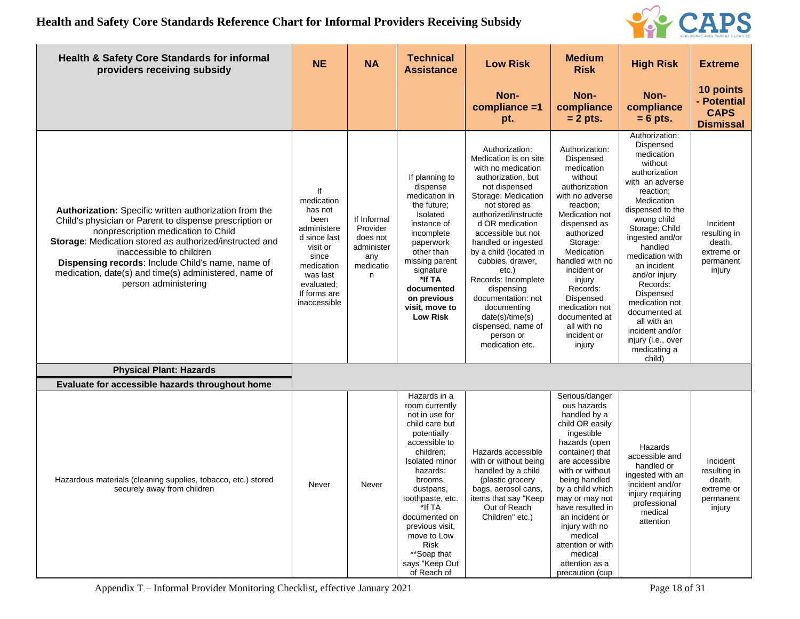

| Health & Safety Core Standards for informal<br>providers receiving subsidy                                                                                                                                                                                                                                                                                                                   | <b>NE</b>                                                                                                                                                       | <b>NA</b>                                                                  | <b>Technical</b><br><b>Assistance</b>                                                                                                                                                                                                                                                                          | <b>Low Risk</b>                                                                                                                                                                                                                                                                                                                                                                                                                                | <b>Medium</b><br><b>Risk</b>                                                                                                                                                                                                                                                                                                                           | <b>High Risk</b>                                                                                                                                                                                                                                                                                                                                                                                        | <b>Extreme</b>                                                          |
|----------------------------------------------------------------------------------------------------------------------------------------------------------------------------------------------------------------------------------------------------------------------------------------------------------------------------------------------------------------------------------------------|-----------------------------------------------------------------------------------------------------------------------------------------------------------------|----------------------------------------------------------------------------|----------------------------------------------------------------------------------------------------------------------------------------------------------------------------------------------------------------------------------------------------------------------------------------------------------------|------------------------------------------------------------------------------------------------------------------------------------------------------------------------------------------------------------------------------------------------------------------------------------------------------------------------------------------------------------------------------------------------------------------------------------------------|--------------------------------------------------------------------------------------------------------------------------------------------------------------------------------------------------------------------------------------------------------------------------------------------------------------------------------------------------------|---------------------------------------------------------------------------------------------------------------------------------------------------------------------------------------------------------------------------------------------------------------------------------------------------------------------------------------------------------------------------------------------------------|-------------------------------------------------------------------------|
|                                                                                                                                                                                                                                                                                                                                                                                              |                                                                                                                                                                 |                                                                            |                                                                                                                                                                                                                                                                                                                | Non-<br>compliance =1<br>pt.                                                                                                                                                                                                                                                                                                                                                                                                                   | Non-<br>compliance<br>$= 2$ pts.                                                                                                                                                                                                                                                                                                                       | Non-<br>compliance<br>$= 6$ pts.                                                                                                                                                                                                                                                                                                                                                                        | 10 points<br>- Potential<br><b>CAPS</b><br><b>Dismissal</b>             |
| Authorization: Specific written authorization from the<br>Child's physician or Parent to dispense prescription or<br>nonprescription medication to Child<br>Storage: Medication stored as authorized/instructed and<br>inaccessible to children<br><b>Dispensing records: Include Child's name, name of</b><br>medication, date(s) and time(s) administered, name of<br>person administering | lf<br>medication<br>has not<br>been<br>administere<br>d since last<br>visit or<br>since<br>medication<br>was last<br>evaluated;<br>If forms are<br>inaccessible | If Informal<br>Provider<br>does not<br>administer<br>any<br>medicatio<br>n | If planning to<br>dispense<br>medication in<br>the future;<br>Isolated<br>instance of<br>incomplete<br>paperwork<br>other than<br>missing parent<br>signature<br>*If TA<br>documented<br>on previous<br>visit, move to<br>Low Risk                                                                             | Authorization:<br>Medication is on site<br>with no medication<br>authorization, but<br>not dispensed<br>Storage: Medication<br>not stored as<br>authorized/instructe<br>d OR medication<br>accessible but not<br>handled or ingested<br>by a child (located in<br>cubbies, drawer,<br>etc.)<br>Records: Incomplete<br>dispensing<br>documentation: not<br>documenting<br>date(s)/time(s)<br>dispensed, name of<br>person or<br>medication etc. | Authorization:<br>Dispensed<br>medication<br>without<br>authorization<br>with no adverse<br>reaction;<br>Medication not<br>dispensed as<br>authorized<br>Storage:<br>Medication<br>handled with no<br>incident or<br>injury<br>Records:<br>Dispensed<br>medication not<br>documented at<br>all with no<br>incident or<br>injury                        | Authorization:<br>Dispensed<br>medication<br>without<br>authorization<br>with an adverse<br>reaction;<br>Medication<br>dispensed to the<br>wrong child<br>Storage: Child<br>ingested and/or<br>handled<br>medication with<br>an incident<br>and/or injury<br>Records:<br>Dispensed<br>medication not<br>documented at<br>all with an<br>incident and/or<br>injury (i.e., over<br>medicating a<br>child) | Incident<br>resulting in<br>death,<br>extreme or<br>permanent<br>injury |
| <b>Physical Plant: Hazards</b>                                                                                                                                                                                                                                                                                                                                                               |                                                                                                                                                                 |                                                                            |                                                                                                                                                                                                                                                                                                                |                                                                                                                                                                                                                                                                                                                                                                                                                                                |                                                                                                                                                                                                                                                                                                                                                        |                                                                                                                                                                                                                                                                                                                                                                                                         |                                                                         |
| Evaluate for accessible hazards throughout home                                                                                                                                                                                                                                                                                                                                              |                                                                                                                                                                 |                                                                            |                                                                                                                                                                                                                                                                                                                |                                                                                                                                                                                                                                                                                                                                                                                                                                                |                                                                                                                                                                                                                                                                                                                                                        |                                                                                                                                                                                                                                                                                                                                                                                                         |                                                                         |
| Hazardous materials (cleaning supplies, tobacco, etc.) stored<br>securely away from children                                                                                                                                                                                                                                                                                                 | Never                                                                                                                                                           | Never                                                                      | Hazards in a<br>room currently<br>not in use for<br>child care but<br>potentially<br>accessible to<br>children:<br>Isolated minor<br>hazards:<br>brooms,<br>dustpans,<br>toothpaste, etc.<br>*lf TA<br>documented on<br>previous visit,<br>move to Low<br>Risk<br>**Soap that<br>says "Keep Out<br>of Reach of | Hazards accessible<br>with or without being<br>handled by a child<br>(plastic grocery<br>bags, aerosol cans,<br>items that say "Keep<br>Out of Reach<br>Children" etc.)                                                                                                                                                                                                                                                                        | Serious/danger<br>ous hazards<br>handled by a<br>child OR easily<br>ingestible<br>hazards (open<br>container) that<br>are accessible<br>with or without<br>being handled<br>by a child which<br>may or may not<br>have resulted in<br>an incident or<br>injury with no<br>medical<br>attention or with<br>medical<br>attention as a<br>precaution (cup | Hazards<br>accessible and<br>handled or<br>ingested with an<br>incident and/or<br>injury requiring<br>professional<br>medical<br>attention                                                                                                                                                                                                                                                              | Incident<br>resulting in<br>death,<br>extreme or<br>permanent<br>injury |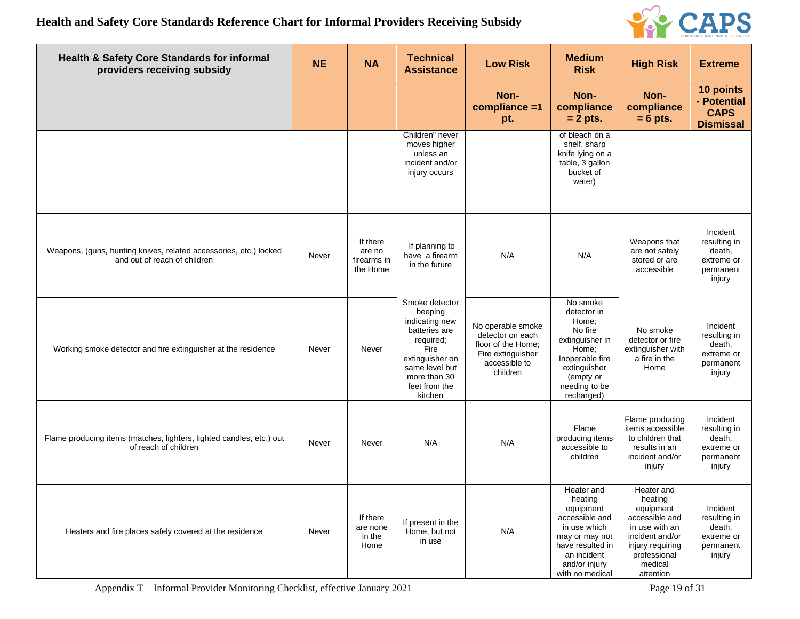

| <b>Health &amp; Safety Core Standards for informal</b><br>providers receiving subsidy             | <b>NE</b> | <b>NA</b>                                     | <b>Technical</b><br><b>Assistance</b>                                                                                                                              | <b>Low Risk</b>                                                                                               | <b>Medium</b><br><b>Risk</b>                                                                                                                                  | <b>High Risk</b>                                                                                                                                      | <b>Extreme</b>                                                          |
|---------------------------------------------------------------------------------------------------|-----------|-----------------------------------------------|--------------------------------------------------------------------------------------------------------------------------------------------------------------------|---------------------------------------------------------------------------------------------------------------|---------------------------------------------------------------------------------------------------------------------------------------------------------------|-------------------------------------------------------------------------------------------------------------------------------------------------------|-------------------------------------------------------------------------|
|                                                                                                   |           |                                               |                                                                                                                                                                    | Non-<br>compliance =1<br>pt.                                                                                  | Non-<br>compliance<br>$= 2$ pts.                                                                                                                              | Non-<br>compliance<br>$= 6$ pts.                                                                                                                      | 10 points<br>- Potential<br><b>CAPS</b><br><b>Dismissal</b>             |
|                                                                                                   |           |                                               | Children" never<br>moves higher<br>unless an<br>incident and/or<br>injury occurs                                                                                   |                                                                                                               | of bleach on a<br>shelf, sharp<br>knife lying on a<br>table, 3 gallon<br>bucket of<br>water)                                                                  |                                                                                                                                                       |                                                                         |
| Weapons, (guns, hunting knives, related accessories, etc.) locked<br>and out of reach of children | Never     | If there<br>are no<br>firearms in<br>the Home | If planning to<br>have a firearm<br>in the future                                                                                                                  | N/A                                                                                                           | N/A                                                                                                                                                           | Weapons that<br>are not safely<br>stored or are<br>accessible                                                                                         | Incident<br>resulting in<br>death,<br>extreme or<br>permanent<br>injury |
| Working smoke detector and fire extinguisher at the residence                                     | Never     | Never                                         | Smoke detector<br>beeping<br>indicating new<br>batteries are<br>required;<br>Fire<br>extinguisher on<br>same level but<br>more than 30<br>feet from the<br>kitchen | No operable smoke<br>detector on each<br>floor of the Home:<br>Fire extinguisher<br>accessible to<br>children | No smoke<br>detector in<br>Home;<br>No fire<br>extinguisher in<br>Home;<br>Inoperable fire<br>extinguisher<br>(empty or<br>needing to be<br>recharged)        | No smoke<br>detector or fire<br>extinguisher with<br>a fire in the<br>Home                                                                            | Incident<br>resulting in<br>death,<br>extreme or<br>permanent<br>injury |
| Flame producing items (matches, lighters, lighted candles, etc.) out<br>of reach of children      | Never     | Never                                         | N/A                                                                                                                                                                | N/A                                                                                                           | Flame<br>producing items<br>accessible to<br>children                                                                                                         | Flame producing<br>items accessible<br>to children that<br>results in an<br>incident and/or<br>injury                                                 | Incident<br>resulting in<br>death,<br>extreme or<br>permanent<br>injury |
| Heaters and fire places safely covered at the residence                                           | Never     | If there<br>are none<br>in the<br>Home        | If present in the<br>Home, but not<br>in use                                                                                                                       | N/A                                                                                                           | Heater and<br>heating<br>equipment<br>accessible and<br>in use which<br>may or may not<br>have resulted in<br>an incident<br>and/or injury<br>with no medical | Heater and<br>heating<br>equipment<br>accessible and<br>in use with an<br>incident and/or<br>injury requiring<br>professional<br>medical<br>attention | Incident<br>resulting in<br>death,<br>extreme or<br>permanent<br>injury |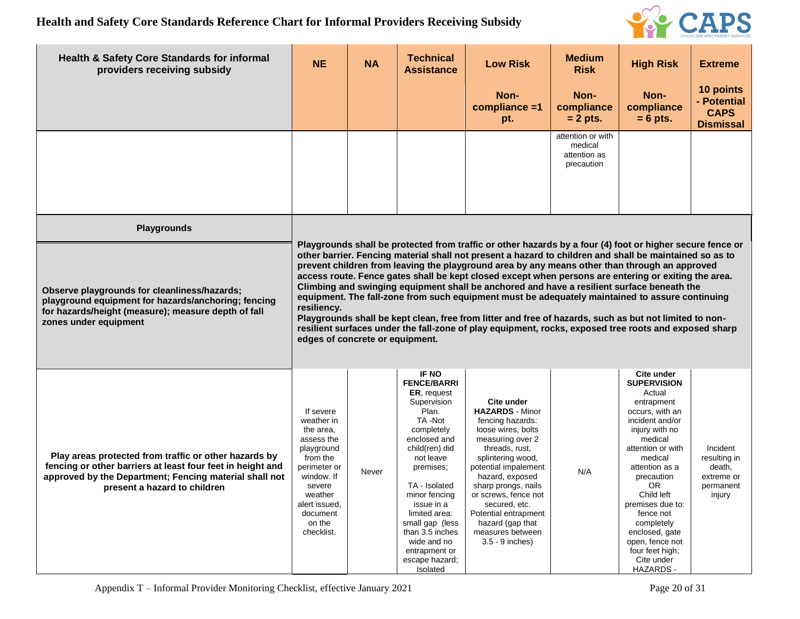

| <b>Health &amp; Safety Core Standards for informal</b><br>providers receiving subsidy                                                                                                                         | <b>NE</b>                                                                                                                                                                                                                                                                                                                                                                                                                                                                                                                                                                                                                                                                                                                                                                                                                                                                                           | <b>NA</b> | <b>Technical</b><br><b>Assistance</b>                                                                                                                                                                                                                                                                                              | <b>Low Risk</b>                                                                                                                                                                                                                                                                                                                           | <b>Medium</b><br><b>Risk</b>                               | <b>High Risk</b>                                                                                                                                                                                                                                                                                                                                         | <b>Extreme</b>                                                          |  |  |
|---------------------------------------------------------------------------------------------------------------------------------------------------------------------------------------------------------------|-----------------------------------------------------------------------------------------------------------------------------------------------------------------------------------------------------------------------------------------------------------------------------------------------------------------------------------------------------------------------------------------------------------------------------------------------------------------------------------------------------------------------------------------------------------------------------------------------------------------------------------------------------------------------------------------------------------------------------------------------------------------------------------------------------------------------------------------------------------------------------------------------------|-----------|------------------------------------------------------------------------------------------------------------------------------------------------------------------------------------------------------------------------------------------------------------------------------------------------------------------------------------|-------------------------------------------------------------------------------------------------------------------------------------------------------------------------------------------------------------------------------------------------------------------------------------------------------------------------------------------|------------------------------------------------------------|----------------------------------------------------------------------------------------------------------------------------------------------------------------------------------------------------------------------------------------------------------------------------------------------------------------------------------------------------------|-------------------------------------------------------------------------|--|--|
|                                                                                                                                                                                                               |                                                                                                                                                                                                                                                                                                                                                                                                                                                                                                                                                                                                                                                                                                                                                                                                                                                                                                     |           |                                                                                                                                                                                                                                                                                                                                    | Non-<br>compliance =1<br>pt.                                                                                                                                                                                                                                                                                                              | Non-<br>compliance<br>$= 2$ pts.                           | Non-<br>compliance<br>$= 6$ pts.                                                                                                                                                                                                                                                                                                                         | 10 points<br>- Potential<br><b>CAPS</b><br><b>Dismissal</b>             |  |  |
|                                                                                                                                                                                                               |                                                                                                                                                                                                                                                                                                                                                                                                                                                                                                                                                                                                                                                                                                                                                                                                                                                                                                     |           |                                                                                                                                                                                                                                                                                                                                    |                                                                                                                                                                                                                                                                                                                                           | attention or with<br>medical<br>attention as<br>precaution |                                                                                                                                                                                                                                                                                                                                                          |                                                                         |  |  |
| <b>Playgrounds</b>                                                                                                                                                                                            |                                                                                                                                                                                                                                                                                                                                                                                                                                                                                                                                                                                                                                                                                                                                                                                                                                                                                                     |           |                                                                                                                                                                                                                                                                                                                                    |                                                                                                                                                                                                                                                                                                                                           |                                                            |                                                                                                                                                                                                                                                                                                                                                          |                                                                         |  |  |
| Observe playgrounds for cleanliness/hazards;<br>playground equipment for hazards/anchoring; fencing<br>for hazards/height (measure); measure depth of fall<br>zones under equipment                           | Playgrounds shall be protected from traffic or other hazards by a four (4) foot or higher secure fence or<br>other barrier. Fencing material shall not present a hazard to children and shall be maintained so as to<br>prevent children from leaving the playground area by any means other than through an approved<br>access route. Fence gates shall be kept closed except when persons are entering or exiting the area.<br>Climbing and swinging equipment shall be anchored and have a resilient surface beneath the<br>equipment. The fall-zone from such equipment must be adequately maintained to assure continuing<br>resiliency.<br>Playgrounds shall be kept clean, free from litter and free of hazards, such as but not limited to non-<br>resilient surfaces under the fall-zone of play equipment, rocks, exposed tree roots and exposed sharp<br>edges of concrete or equipment. |           |                                                                                                                                                                                                                                                                                                                                    |                                                                                                                                                                                                                                                                                                                                           |                                                            |                                                                                                                                                                                                                                                                                                                                                          |                                                                         |  |  |
| Play areas protected from traffic or other hazards by<br>fencing or other barriers at least four feet in height and<br>approved by the Department; Fencing material shall not<br>present a hazard to children | If severe<br>weather in<br>the area.<br>assess the<br>playground<br>from the<br>perimeter or<br>window. If<br>severe<br>weather<br>alert issued.<br>document<br>on the<br>checklist.                                                                                                                                                                                                                                                                                                                                                                                                                                                                                                                                                                                                                                                                                                                | Never     | <b>IF NO</b><br><b>FENCE/BARRI</b><br>ER, request<br>Supervision<br>Plan.<br>TA-Not<br>completely<br>enclosed and<br>child(ren) did<br>not leave<br>premises;<br>TA - Isolated<br>minor fencing<br>issue in a<br>limited area:<br>small gap (less<br>than 3.5 inches<br>wide and no<br>entrapment or<br>escape hazard;<br>Isolated | Cite under<br><b>HAZARDS - Minor</b><br>fencing hazards:<br>loose wires, bolts<br>measuring over 2<br>threads, rust,<br>splintering wood,<br>potential impalement<br>hazard, exposed<br>sharp prongs, nails<br>or screws, fence not<br>secured, etc.<br>Potential entrapment<br>hazard (gap that<br>measures between<br>$3.5 - 9$ inches) | N/A                                                        | Cite under<br><b>SUPERVISION</b><br>Actual<br>entrapment<br>occurs, with an<br>incident and/or<br>injury with no<br>medical<br>attention or with<br>medical<br>attention as a<br>precaution<br><b>OR</b><br>Child left<br>premises due to:<br>fence not<br>completely<br>enclosed, gate<br>open, fence not<br>four feet high;<br>Cite under<br>HAZARDS - | Incident<br>resulting in<br>death,<br>extreme or<br>permanent<br>injury |  |  |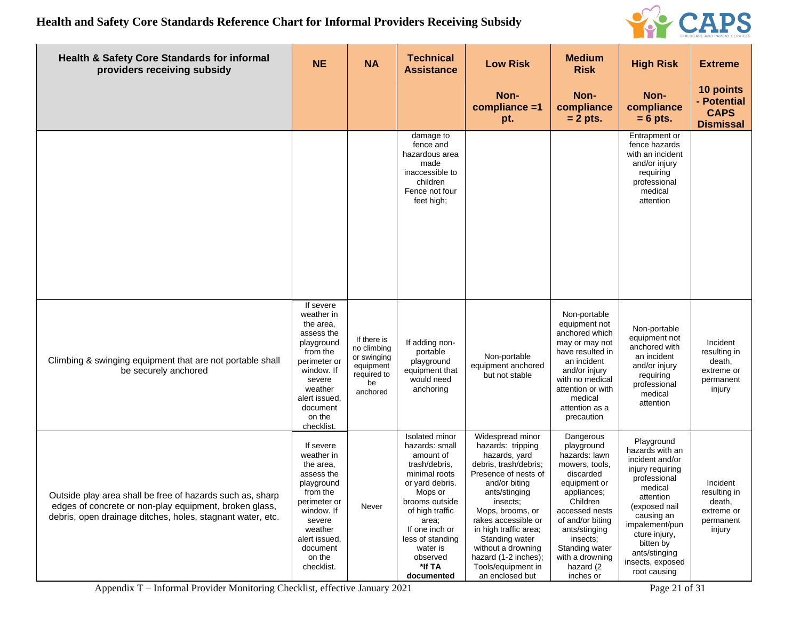

| <b>Health &amp; Safety Core Standards for informal</b><br>providers receiving subsidy                                                                                             | <b>NE</b>                                                                                                                                                                            | <b>NA</b>                                                                               | <b>Technical</b><br><b>Assistance</b>                                                                                                                                                                                                                    | <b>Low Risk</b>                                                                                                                                                                                                                                                                                                                    | <b>Medium</b><br><b>Risk</b>                                                                                                                                                                                                                         | <b>High Risk</b>                                                                                                                                                                                                                                 | <b>Extreme</b>                                                          |
|-----------------------------------------------------------------------------------------------------------------------------------------------------------------------------------|--------------------------------------------------------------------------------------------------------------------------------------------------------------------------------------|-----------------------------------------------------------------------------------------|----------------------------------------------------------------------------------------------------------------------------------------------------------------------------------------------------------------------------------------------------------|------------------------------------------------------------------------------------------------------------------------------------------------------------------------------------------------------------------------------------------------------------------------------------------------------------------------------------|------------------------------------------------------------------------------------------------------------------------------------------------------------------------------------------------------------------------------------------------------|--------------------------------------------------------------------------------------------------------------------------------------------------------------------------------------------------------------------------------------------------|-------------------------------------------------------------------------|
|                                                                                                                                                                                   |                                                                                                                                                                                      |                                                                                         |                                                                                                                                                                                                                                                          | Non-<br>compliance =1<br>pt.                                                                                                                                                                                                                                                                                                       | Non-<br>compliance<br>$= 2$ pts.                                                                                                                                                                                                                     | Non-<br>compliance<br>$= 6$ pts.                                                                                                                                                                                                                 | 10 points<br>- Potential<br><b>CAPS</b><br><b>Dismissal</b>             |
|                                                                                                                                                                                   |                                                                                                                                                                                      |                                                                                         | damage to<br>fence and<br>hazardous area<br>made<br>inaccessible to<br>children<br>Fence not four<br>feet high;                                                                                                                                          |                                                                                                                                                                                                                                                                                                                                    |                                                                                                                                                                                                                                                      | Entrapment or<br>fence hazards<br>with an incident<br>and/or injury<br>requiring<br>professional<br>medical<br>attention                                                                                                                         |                                                                         |
| Climbing & swinging equipment that are not portable shall<br>be securely anchored                                                                                                 | If severe<br>weather in<br>the area,<br>assess the<br>playground<br>from the<br>perimeter or<br>window. If<br>severe<br>weather<br>alert issued,<br>document<br>on the<br>checklist. | If there is<br>no climbing<br>or swinging<br>equipment<br>required to<br>be<br>anchored | If adding non-<br>portable<br>playground<br>equipment that<br>would need<br>anchoring                                                                                                                                                                    | Non-portable<br>equipment anchored<br>but not stable                                                                                                                                                                                                                                                                               | Non-portable<br>equipment not<br>anchored which<br>may or may not<br>have resulted in<br>an incident<br>and/or injury<br>with no medical<br>attention or with<br>medical<br>attention as a<br>precaution                                             | Non-portable<br>equipment not<br>anchored with<br>an incident<br>and/or injury<br>requiring<br>professional<br>medical<br>attention                                                                                                              | Incident<br>resulting in<br>death,<br>extreme or<br>permanent<br>injury |
| Outside play area shall be free of hazards such as, sharp<br>edges of concrete or non-play equipment, broken glass,<br>debris, open drainage ditches, holes, stagnant water, etc. | If severe<br>weather in<br>the area,<br>assess the<br>playground<br>from the<br>perimeter or<br>window. If<br>severe<br>weather<br>alert issued,<br>document<br>on the<br>checklist. | Never                                                                                   | <b>Isolated</b> minor<br>hazards: small<br>amount of<br>trash/debris,<br>minimal roots<br>or yard debris.<br>Mops or<br>prooms outside<br>of high traffic<br>area;<br>If one inch or<br>less of standing<br>water is<br>observed<br>*If TA<br>documented | Widespread minor<br>hazards: tripping<br>hazards, yard<br>debris, trash/debris;<br>Presence of nests of<br>and/or biting<br>ants/stinging<br>insects;<br>Mops, brooms, or<br>rakes accessible or<br>in high traffic area;<br>Standing water<br>without a drowning<br>hazard (1-2 inches);<br>Tools/equipment in<br>an enclosed but | Dangerous<br>playground<br>hazards: lawn<br>mowers, tools,<br>discarded<br>equipment or<br>appliances;<br>Children<br>accessed nests<br>of and/or biting<br>ants/stinging<br>insects;<br>Standing water<br>with a drowning<br>hazard (2<br>inches or | Playground<br>hazards with an<br>incident and/or<br>injury requiring<br>professional<br>medical<br>attention<br>(exposed nail<br>causing an<br>impalement/pun<br>cture injury,<br>bitten by<br>ants/stinging<br>insects, exposed<br>root causing | Incident<br>resulting in<br>death,<br>extreme or<br>permanent<br>injury |

Appendix T – Informal Provider Monitoring Checklist, effective January 2021 Page 21 of 31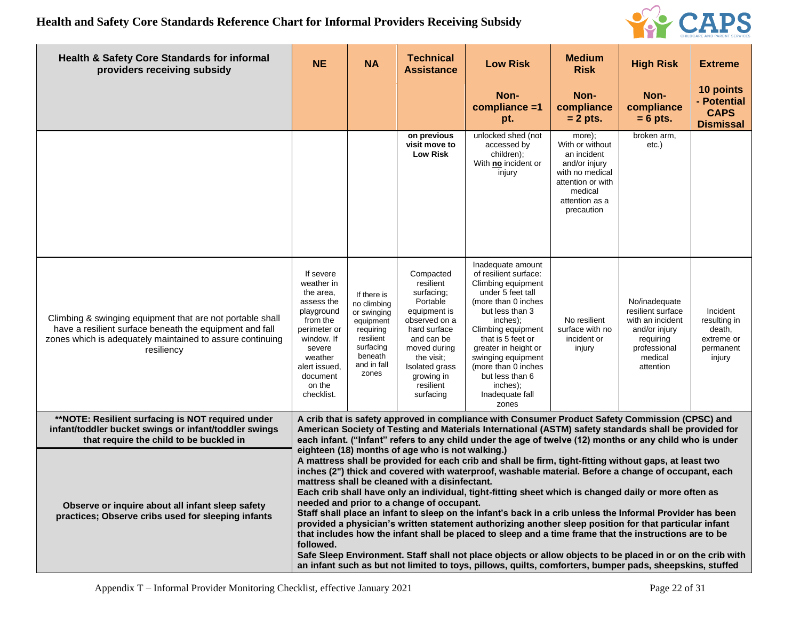

| <b>Health &amp; Safety Core Standards for informal</b><br>providers receiving subsidy                                                                                                           | <b>NE</b>                                                                                                                                                                            | <b>NA</b>                                                                                                                        | <b>Technical</b><br><b>Assistance</b>                                                                                                                                                                   | <b>Low Risk</b>                                                                                                                                                                                                                                                                                                                                                                                                                                                                                                                                                                                                                                                                                                                                                                                                                                                                  | <b>Medium</b><br><b>Risk</b>                                                                                                                 | <b>High Risk</b>                                                                                                             | <b>Extreme</b>                                                          |
|-------------------------------------------------------------------------------------------------------------------------------------------------------------------------------------------------|--------------------------------------------------------------------------------------------------------------------------------------------------------------------------------------|----------------------------------------------------------------------------------------------------------------------------------|---------------------------------------------------------------------------------------------------------------------------------------------------------------------------------------------------------|----------------------------------------------------------------------------------------------------------------------------------------------------------------------------------------------------------------------------------------------------------------------------------------------------------------------------------------------------------------------------------------------------------------------------------------------------------------------------------------------------------------------------------------------------------------------------------------------------------------------------------------------------------------------------------------------------------------------------------------------------------------------------------------------------------------------------------------------------------------------------------|----------------------------------------------------------------------------------------------------------------------------------------------|------------------------------------------------------------------------------------------------------------------------------|-------------------------------------------------------------------------|
|                                                                                                                                                                                                 |                                                                                                                                                                                      |                                                                                                                                  |                                                                                                                                                                                                         | Non-<br>compliance =1<br>pt.                                                                                                                                                                                                                                                                                                                                                                                                                                                                                                                                                                                                                                                                                                                                                                                                                                                     | Non-<br>compliance<br>$= 2$ pts.                                                                                                             | Non-<br>compliance<br>$= 6$ pts.                                                                                             | 10 points<br>- Potential<br><b>CAPS</b><br><b>Dismissal</b>             |
|                                                                                                                                                                                                 |                                                                                                                                                                                      |                                                                                                                                  | on previous<br>visit move to<br><b>Low Risk</b>                                                                                                                                                         | unlocked shed (not<br>accessed by<br>children);<br>With no incident or<br>injury                                                                                                                                                                                                                                                                                                                                                                                                                                                                                                                                                                                                                                                                                                                                                                                                 | more);<br>With or without<br>an incident<br>and/or injury<br>with no medical<br>attention or with<br>medical<br>attention as a<br>precaution | broken arm,<br>etc.)                                                                                                         |                                                                         |
| Climbing & swinging equipment that are not portable shall<br>have a resilient surface beneath the equipment and fall<br>zones which is adequately maintained to assure continuing<br>resiliency | If severe<br>weather in<br>the area.<br>assess the<br>playground<br>from the<br>perimeter or<br>window. If<br>severe<br>weather<br>alert issued,<br>document<br>on the<br>checklist. | If there is<br>no climbing<br>or swinging<br>equipment<br>requiring<br>resilient<br>surfacing<br>beneath<br>and in fall<br>zones | Compacted<br>resilient<br>surfacing;<br>Portable<br>equipment is<br>observed on a<br>hard surface<br>and can be<br>moved during<br>the visit;<br>Isolated grass<br>growing in<br>resilient<br>surfacing | Inadequate amount<br>of resilient surface:<br>Climbing equipment<br>under 5 feet tall<br>(more than 0 inches<br>but less than 3<br>inches);<br>Climbing equipment<br>that is 5 feet or<br>greater in height or<br>swinging equipment<br>(more than 0 inches<br>but less than 6<br>inches);<br>Inadequate fall<br>zones                                                                                                                                                                                                                                                                                                                                                                                                                                                                                                                                                           | No resilient<br>surface with no<br>incident or<br>injury                                                                                     | No/inadequate<br>resilient surface<br>with an incident<br>and/or injury<br>requiring<br>professional<br>medical<br>attention | Incident<br>resulting in<br>death,<br>extreme or<br>permanent<br>injury |
| **NOTE: Resilient surfacing is NOT required under<br>infant/toddler bucket swings or infant/toddler swings<br>that require the child to be buckled in                                           |                                                                                                                                                                                      |                                                                                                                                  |                                                                                                                                                                                                         | A crib that is safety approved in compliance with Consumer Product Safety Commission (CPSC) and<br>American Society of Testing and Materials International (ASTM) safety standards shall be provided for<br>each infant. ("Infant" refers to any child under the age of twelve (12) months or any child who is under                                                                                                                                                                                                                                                                                                                                                                                                                                                                                                                                                             |                                                                                                                                              |                                                                                                                              |                                                                         |
| Observe or inquire about all infant sleep safety<br>practices; Observe cribs used for sleeping infants                                                                                          | followed.                                                                                                                                                                            |                                                                                                                                  | eighteen (18) months of age who is not walking.)<br>mattress shall be cleaned with a disinfectant.<br>needed and prior to a change of occupant.                                                         | A mattress shall be provided for each crib and shall be firm, tight-fitting without gaps, at least two<br>inches (2") thick and covered with waterproof, washable material. Before a change of occupant, each<br>Each crib shall have only an individual, tight-fitting sheet which is changed daily or more often as<br>Staff shall place an infant to sleep on the infant's back in a crib unless the Informal Provider has been<br>provided a physician's written statement authorizing another sleep position for that particular infant<br>that includes how the infant shall be placed to sleep and a time frame that the instructions are to be<br>Safe Sleep Environment. Staff shall not place objects or allow objects to be placed in or on the crib with<br>an infant such as but not limited to toys, pillows, quilts, comforters, bumper pads, sheepskins, stuffed |                                                                                                                                              |                                                                                                                              |                                                                         |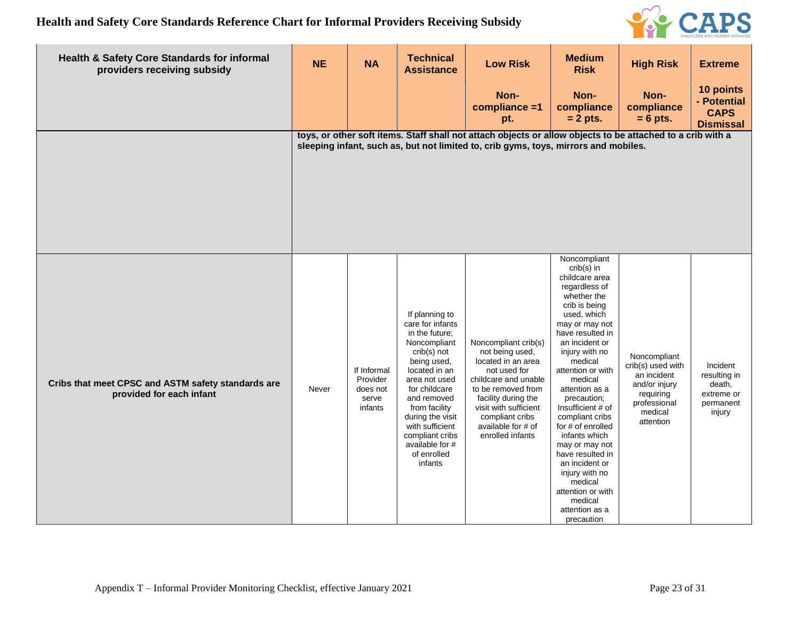

| <b>Health &amp; Safety Core Standards for informal</b><br>providers receiving subsidy | <b>NE</b> | <b>NA</b>                                               | <b>Technical</b><br><b>Assistance</b>                                                                                                                                                                                                                                                        | <b>Low Risk</b>                                                                                                                                                                                                                          | <b>Medium</b><br><b>Risk</b>                                                                                                                                                                                                                                                                                                                                                                                                                                                                              | <b>High Risk</b>                                                                                                       | <b>Extreme</b>                                                          |
|---------------------------------------------------------------------------------------|-----------|---------------------------------------------------------|----------------------------------------------------------------------------------------------------------------------------------------------------------------------------------------------------------------------------------------------------------------------------------------------|------------------------------------------------------------------------------------------------------------------------------------------------------------------------------------------------------------------------------------------|-----------------------------------------------------------------------------------------------------------------------------------------------------------------------------------------------------------------------------------------------------------------------------------------------------------------------------------------------------------------------------------------------------------------------------------------------------------------------------------------------------------|------------------------------------------------------------------------------------------------------------------------|-------------------------------------------------------------------------|
|                                                                                       |           |                                                         |                                                                                                                                                                                                                                                                                              | Non-<br>compliance =1<br>pt.                                                                                                                                                                                                             | Non-<br>compliance<br>$= 2$ pts.                                                                                                                                                                                                                                                                                                                                                                                                                                                                          | Non-<br>compliance<br>$= 6$ pts.                                                                                       | 10 points<br>- Potential<br><b>CAPS</b><br><b>Dismissal</b>             |
|                                                                                       |           |                                                         |                                                                                                                                                                                                                                                                                              | toys, or other soft items. Staff shall not attach objects or allow objects to be attached to a crib with a<br>sleeping infant, such as, but not limited to, crib gyms, toys, mirrors and mobiles.                                        |                                                                                                                                                                                                                                                                                                                                                                                                                                                                                                           |                                                                                                                        |                                                                         |
| Cribs that meet CPSC and ASTM safety standards are<br>provided for each infant        | Never     | If Informal<br>Provider<br>does not<br>serve<br>infants | If planning to<br>care for infants<br>in the future;<br>Noncompliant<br>crib(s) not<br>being used,<br>located in an<br>area not used<br>for childcare<br>and removed<br>from facility<br>during the visit<br>with sufficient<br>compliant cribs<br>available for #<br>of enrolled<br>infants | Noncompliant crib(s)<br>not being used,<br>located in an area<br>not used for<br>childcare and unable<br>to be removed from<br>facility during the<br>visit with sufficient<br>compliant cribs<br>available for # of<br>enrolled infants | Noncompliant<br>$crib(s)$ in<br>childcare area<br>regardless of<br>whether the<br>crib is being<br>used, which<br>may or may not<br>have resulted in<br>an incident or<br>injury with no<br>medical<br>attention or with<br>medical<br>attention as a<br>precaution;<br>Insufficient # of<br>compliant cribs<br>for $#$ of enrolled<br>infants which<br>may or may not<br>have resulted in<br>an incident or<br>injury with no<br>medical<br>attention or with<br>medical<br>attention as a<br>precaution | Noncompliant<br>crib(s) used with<br>an incident<br>and/or injury<br>requiring<br>professional<br>medical<br>attention | Incident<br>resulting in<br>death,<br>extreme or<br>permanent<br>injury |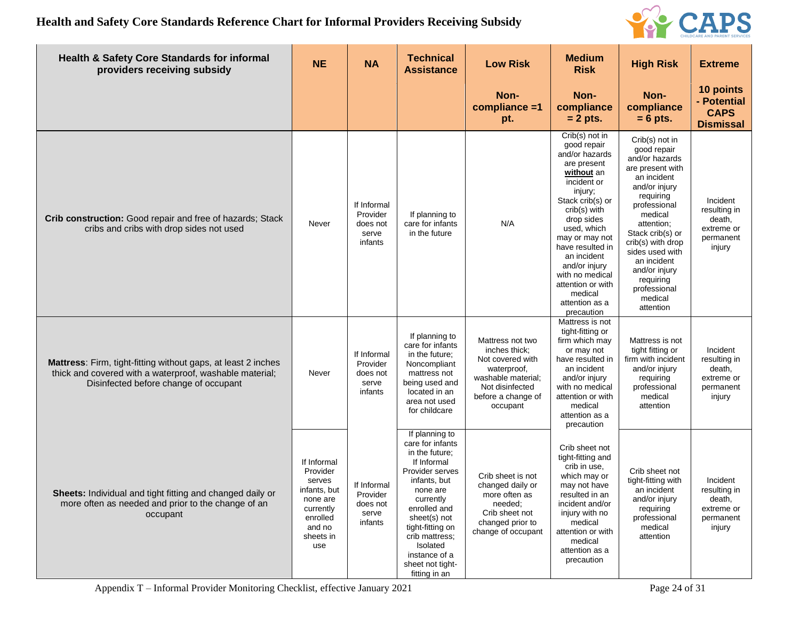

| <b>Health &amp; Safety Core Standards for informal</b><br>providers receiving subsidy                                                                             | <b>NE</b>                                                                                                            | <b>NA</b>                                               | <b>Technical</b><br><b>Assistance</b>                                                                                                                                                                                                                                   | <b>Low Risk</b>                                                                                                                                 | <b>Medium</b><br><b>Risk</b>                                                                                                                                                                                                                                                                                                     | <b>High Risk</b>                                                                                                                                                                                                                                                                                           | <b>Extreme</b>                                                          |
|-------------------------------------------------------------------------------------------------------------------------------------------------------------------|----------------------------------------------------------------------------------------------------------------------|---------------------------------------------------------|-------------------------------------------------------------------------------------------------------------------------------------------------------------------------------------------------------------------------------------------------------------------------|-------------------------------------------------------------------------------------------------------------------------------------------------|----------------------------------------------------------------------------------------------------------------------------------------------------------------------------------------------------------------------------------------------------------------------------------------------------------------------------------|------------------------------------------------------------------------------------------------------------------------------------------------------------------------------------------------------------------------------------------------------------------------------------------------------------|-------------------------------------------------------------------------|
|                                                                                                                                                                   |                                                                                                                      |                                                         |                                                                                                                                                                                                                                                                         | Non-<br>compliance =1<br>pt.                                                                                                                    | Non-<br>compliance<br>$= 2$ pts.                                                                                                                                                                                                                                                                                                 | Non-<br>compliance<br>$= 6$ pts.                                                                                                                                                                                                                                                                           | 10 points<br>- Potential<br><b>CAPS</b><br><b>Dismissal</b>             |
| Crib construction: Good repair and free of hazards; Stack<br>cribs and cribs with drop sides not used                                                             | Never                                                                                                                | If Informal<br>Provider<br>does not<br>serve<br>infants | If planning to<br>care for infants<br>in the future                                                                                                                                                                                                                     | N/A                                                                                                                                             | Crib(s) not in<br>good repair<br>and/or hazards<br>are present<br>without an<br>incident or<br>injury;<br>Stack crib(s) or<br>crib(s) with<br>drop sides<br>used, which<br>may or may not<br>have resulted in<br>an incident<br>and/or injury<br>with no medical<br>attention or with<br>medical<br>attention as a<br>precaution | Crib(s) not in<br>good repair<br>and/or hazards<br>are present with<br>an incident<br>and/or injury<br>requiring<br>professional<br>medical<br>attention;<br>Stack crib(s) or<br>crib(s) with drop<br>sides used with<br>an incident<br>and/or injury<br>requiring<br>professional<br>medical<br>attention | Incident<br>resulting in<br>death,<br>extreme or<br>permanent<br>injury |
| Mattress: Firm, tight-fitting without gaps, at least 2 inches<br>thick and covered with a waterproof, washable material;<br>Disinfected before change of occupant | Never                                                                                                                | If Informal<br>Provider<br>does not<br>serve<br>infants | If planning to<br>care for infants<br>in the future;<br>Noncompliant<br>mattress not<br>being used and<br>located in an<br>area not used<br>for childcare                                                                                                               | Mattress not two<br>inches thick;<br>Not covered with<br>waterproof,<br>washable material;<br>Not disinfected<br>before a change of<br>occupant | Mattress is not<br>tight-fitting or<br>firm which may<br>or may not<br>have resulted in<br>an incident<br>and/or injury<br>with no medical<br>attention or with<br>medical<br>attention as a<br>precaution                                                                                                                       | Mattress is not<br>tight fitting or<br>firm with incident<br>and/or injury<br>requiring<br>professional<br>medical<br>attention                                                                                                                                                                            | Incident<br>resulting in<br>death,<br>extreme or<br>permanent<br>injury |
| Sheets: Individual and tight fitting and changed daily or<br>more often as needed and prior to the change of an<br>occupant                                       | If Informal<br>Provider<br>serves<br>infants, but<br>none are<br>currently<br>enrolled<br>and no<br>sheets in<br>use | If Informal<br>Provider<br>does not<br>serve<br>infants | If planning to<br>care for infants<br>in the future;<br>If Informal<br>Provider serves<br>infants, but<br>none are<br>currently<br>enrolled and<br>sheet(s) not<br>tight-fitting on<br>crib mattress;<br>Isolated<br>instance of a<br>sheet not tight-<br>fitting in an | Crib sheet is not<br>changed daily or<br>more often as<br>needed;<br>Crib sheet not<br>changed prior to<br>change of occupant                   | Crib sheet not<br>tight-fitting and<br>crib in use.<br>which may or<br>may not have<br>resulted in an<br>incident and/or<br>injury with no<br>medical<br>attention or with<br>medical<br>attention as a<br>precaution                                                                                                            | Crib sheet not<br>tight-fitting with<br>an incident<br>and/or injury<br>requiring<br>professional<br>medical<br>attention                                                                                                                                                                                  | Incident<br>resulting in<br>death,<br>extreme or<br>permanent<br>injury |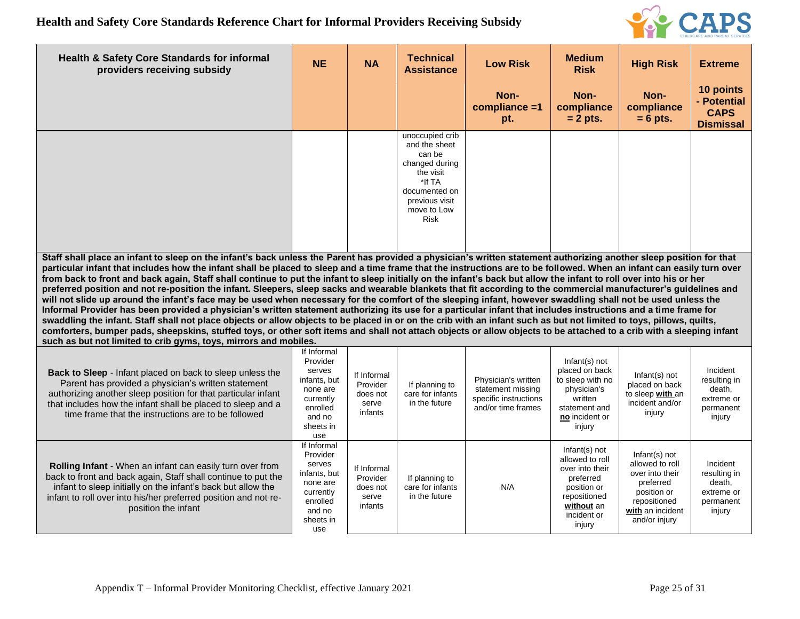

| <b>Health &amp; Safety Core Standards for informal</b><br>providers receiving subsidy                                                                                                                                                                                                                                                                                                                                                                                                                                                                                                                                                                                                                                                                                                                                                                                                                                                                                                                                                                                                                                                                                                                                                                                                                                                                                         | <b>NE</b>                                                                                                            | <b>NA</b>                                               | <b>Technical</b><br><b>Assistance</b>                                                                                                                | <b>Low Risk</b>                                                                         | <b>Medium</b><br><b>Risk</b>                                                                                                           | <b>High Risk</b>                                                                                                                       | <b>Extreme</b>                                                          |  |  |
|-------------------------------------------------------------------------------------------------------------------------------------------------------------------------------------------------------------------------------------------------------------------------------------------------------------------------------------------------------------------------------------------------------------------------------------------------------------------------------------------------------------------------------------------------------------------------------------------------------------------------------------------------------------------------------------------------------------------------------------------------------------------------------------------------------------------------------------------------------------------------------------------------------------------------------------------------------------------------------------------------------------------------------------------------------------------------------------------------------------------------------------------------------------------------------------------------------------------------------------------------------------------------------------------------------------------------------------------------------------------------------|----------------------------------------------------------------------------------------------------------------------|---------------------------------------------------------|------------------------------------------------------------------------------------------------------------------------------------------------------|-----------------------------------------------------------------------------------------|----------------------------------------------------------------------------------------------------------------------------------------|----------------------------------------------------------------------------------------------------------------------------------------|-------------------------------------------------------------------------|--|--|
|                                                                                                                                                                                                                                                                                                                                                                                                                                                                                                                                                                                                                                                                                                                                                                                                                                                                                                                                                                                                                                                                                                                                                                                                                                                                                                                                                                               |                                                                                                                      |                                                         |                                                                                                                                                      | Non-<br>compliance =1<br>pt.                                                            | Non-<br>compliance<br>$= 2$ pts.                                                                                                       | Non-<br>compliance<br>$= 6$ pts.                                                                                                       | 10 points<br>- Potential<br><b>CAPS</b><br><b>Dismissal</b>             |  |  |
|                                                                                                                                                                                                                                                                                                                                                                                                                                                                                                                                                                                                                                                                                                                                                                                                                                                                                                                                                                                                                                                                                                                                                                                                                                                                                                                                                                               |                                                                                                                      |                                                         | unoccupied crib<br>and the sheet<br>can be<br>changed during<br>the visit<br>*If TA<br>documented on<br>previous visit<br>move to Low<br><b>Risk</b> |                                                                                         |                                                                                                                                        |                                                                                                                                        |                                                                         |  |  |
| Staff shall place an infant to sleep on the infant's back unless the Parent has provided a physician's written statement authorizing another sleep position for that<br>particular infant that includes how the infant shall be placed to sleep and a time frame that the instructions are to be followed. When an infant can easily turn over<br>from back to front and back again, Staff shall continue to put the infant to sleep initially on the infant's back but allow the infant to roll over into his or her<br>preferred position and not re-position the infant. Sleepers, sleep sacks and wearable blankets that fit according to the commercial manufacturer's guidelines and<br>will not slide up around the infant's face may be used when necessary for the comfort of the sleeping infant, however swaddling shall not be used unless the<br>Informal Provider has been provided a physician's written statement authorizing its use for a particular infant that includes instructions and a time frame for<br>swaddling the infant. Staff shall not place objects or allow objects to be placed in or on the crib with an infant such as but not limited to toys, pillows, quilts,<br>comforters, bumper pads, sheepskins, stuffed toys, or other soft items and shall not attach objects or allow objects to be attached to a crib with a sleeping infant |                                                                                                                      |                                                         |                                                                                                                                                      |                                                                                         |                                                                                                                                        |                                                                                                                                        |                                                                         |  |  |
| such as but not limited to crib gyms, toys, mirrors and mobiles.<br><b>Back to Sleep</b> - Infant placed on back to sleep unless the<br>Parent has provided a physician's written statement<br>authorizing another sleep position for that particular infant<br>that includes how the infant shall be placed to sleep and a<br>time frame that the instructions are to be followed                                                                                                                                                                                                                                                                                                                                                                                                                                                                                                                                                                                                                                                                                                                                                                                                                                                                                                                                                                                            | If Informal<br>Provider<br>serves<br>infants, but<br>none are<br>currently<br>enrolled<br>and no<br>sheets in<br>use | If Informal<br>Provider<br>does not<br>serve<br>infants | If planning to<br>care for infants<br>in the future                                                                                                  | Physician's written<br>statement missing<br>specific instructions<br>and/or time frames | Infant(s) not<br>placed on back<br>to sleep with no<br>physician's<br>written<br>statement and<br>no incident or<br>injury             | $Infant(s)$ not<br>placed on back<br>to sleep with an<br>incident and/or<br>injury                                                     | Incident<br>resulting in<br>death,<br>extreme or<br>permanent<br>injury |  |  |
| Rolling Infant - When an infant can easily turn over from<br>back to front and back again, Staff shall continue to put the<br>infant to sleep initially on the infant's back but allow the<br>infant to roll over into his/her preferred position and not re-<br>position the infant                                                                                                                                                                                                                                                                                                                                                                                                                                                                                                                                                                                                                                                                                                                                                                                                                                                                                                                                                                                                                                                                                          | If Informal<br>Provider<br>serves<br>infants, but<br>none are<br>currently<br>enrolled<br>and no<br>sheets in<br>use | If Informal<br>Provider<br>does not<br>serve<br>infants | If planning to<br>care for infants<br>in the future                                                                                                  | N/A                                                                                     | Infant(s) not<br>allowed to roll<br>over into their<br>preferred<br>position or<br>repositioned<br>without an<br>incident or<br>injury | $Infant(s)$ not<br>allowed to roll<br>over into their<br>preferred<br>position or<br>repositioned<br>with an incident<br>and/or injury | Incident<br>resulting in<br>death,<br>extreme or<br>permanent<br>injury |  |  |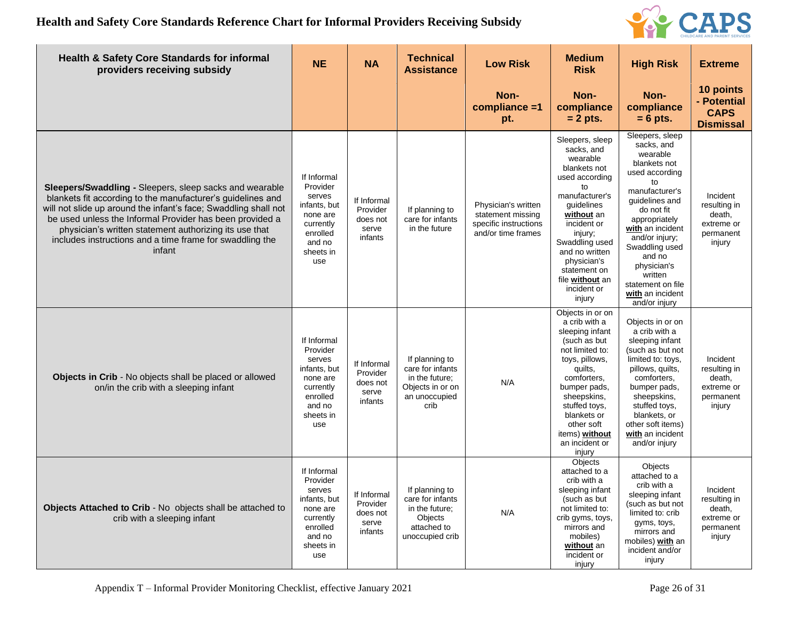

| <b>Health &amp; Safety Core Standards for informal</b><br>providers receiving subsidy                                                                                                                                                                                                                                                                                                        | <b>NE</b>                                                                                                            | <b>NA</b>                                               | <b>Technical</b><br><b>Assistance</b>                                                             | <b>Low Risk</b>                                                                         | <b>Medium</b><br><b>Risk</b>                                                                                                                                                                                                                                             | <b>High Risk</b>                                                                                                                                                                                                                                                                                           | <b>Extreme</b>                                                          |
|----------------------------------------------------------------------------------------------------------------------------------------------------------------------------------------------------------------------------------------------------------------------------------------------------------------------------------------------------------------------------------------------|----------------------------------------------------------------------------------------------------------------------|---------------------------------------------------------|---------------------------------------------------------------------------------------------------|-----------------------------------------------------------------------------------------|--------------------------------------------------------------------------------------------------------------------------------------------------------------------------------------------------------------------------------------------------------------------------|------------------------------------------------------------------------------------------------------------------------------------------------------------------------------------------------------------------------------------------------------------------------------------------------------------|-------------------------------------------------------------------------|
|                                                                                                                                                                                                                                                                                                                                                                                              |                                                                                                                      |                                                         |                                                                                                   | Non-<br>compliance =1<br>pt.                                                            | Non-<br>compliance<br>$= 2$ pts.                                                                                                                                                                                                                                         | Non-<br>compliance<br>$= 6$ pts.                                                                                                                                                                                                                                                                           | 10 points<br>- Potential<br><b>CAPS</b><br><b>Dismissal</b>             |
| <b>Sleepers/Swaddling - Sleepers, sleep sacks and wearable</b><br>blankets fit according to the manufacturer's guidelines and<br>will not slide up around the infant's face; Swaddling shall not<br>be used unless the Informal Provider has been provided a<br>physician's written statement authorizing its use that<br>includes instructions and a time frame for swaddling the<br>infant | If Informal<br>Provider<br>serves<br>infants, but<br>none are<br>currently<br>enrolled<br>and no<br>sheets in<br>use | If Informal<br>Provider<br>does not<br>serve<br>infants | If planning to<br>care for infants<br>in the future                                               | Physician's written<br>statement missing<br>specific instructions<br>and/or time frames | Sleepers, sleep<br>sacks, and<br>wearable<br>blankets not<br>used according<br>to<br>manufacturer's<br>guidelines<br>without an<br>incident or<br>injury;<br>Swaddling used<br>and no written<br>physician's<br>statement on<br>file without an<br>incident or<br>injury | Sleepers, sleep<br>sacks, and<br>wearable<br>blankets not<br>used according<br>to<br>manufacturer's<br>guidelines and<br>do not fit<br>appropriately<br>with an incident<br>and/or injury;<br>Swaddling used<br>and no<br>physician's<br>written<br>statement on file<br>with an incident<br>and/or injury | Incident<br>resulting in<br>death,<br>extreme or<br>permanent<br>injury |
| Objects in Crib - No objects shall be placed or allowed<br>on/in the crib with a sleeping infant                                                                                                                                                                                                                                                                                             | If Informal<br>Provider<br>serves<br>infants, but<br>none are<br>currently<br>enrolled<br>and no<br>sheets in<br>use | If Informal<br>Provider<br>does not<br>serve<br>infants | If planning to<br>care for infants<br>in the future;<br>Objects in or on<br>an unoccupied<br>crib | N/A                                                                                     | Objects in or on<br>a crib with a<br>sleeping infant<br>(such as but<br>not limited to:<br>toys, pillows,<br>quilts,<br>comforters,<br>bumper pads.<br>sheepskins,<br>stuffed toys,<br>blankets or<br>other soft<br>items) without<br>an incident or<br>injury           | Objects in or on<br>a crib with a<br>sleeping infant<br>(such as but not<br>limited to: toys,<br>pillows, quilts,<br>comforters.<br>bumper pads,<br>sheepskins,<br>stuffed toys,<br>blankets, or<br>other soft items)<br>with an incident<br>and/or injury                                                 | Incident<br>resulting in<br>death,<br>extreme or<br>permanent<br>injury |
| Objects Attached to Crib - No objects shall be attached to<br>crib with a sleeping infant                                                                                                                                                                                                                                                                                                    | If Informal<br>Provider<br>serves<br>infants, but<br>none are<br>currently<br>enrolled<br>and no<br>sheets in<br>use | If Informal<br>Provider<br>does not<br>serve<br>infants | If planning to<br>care for infants<br>in the future;<br>Objects<br>attached to<br>unoccupied crib | N/A                                                                                     | Objects<br>attached to a<br>crib with a<br>sleeping infant<br>(such as but<br>not limited to:<br>crib gyms, toys,<br>mirrors and<br>mobiles)<br>without an<br>incident or<br>injury                                                                                      | Objects<br>attached to a<br>crib with a<br>sleeping infant<br>(such as but not<br>limited to: crib<br>gyms, toys,<br>mirrors and<br>mobiles) with an<br>incident and/or<br>injury                                                                                                                          | Incident<br>resulting in<br>death,<br>extreme or<br>permanent<br>injury |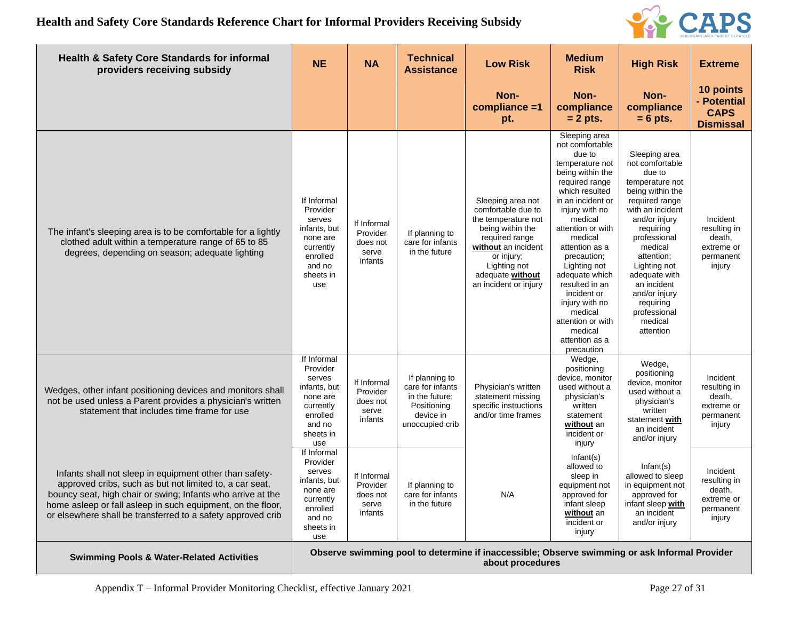

| <b>Health &amp; Safety Core Standards for informal</b><br>providers receiving subsidy                                                                                                                                                                                                                           | <b>NE</b>                                                                                                            | <b>NA</b>                                               | <b>Technical</b><br><b>Assistance</b>                                                               | <b>Low Risk</b>                                                                                                                                                                                        | <b>Medium</b><br><b>Risk</b>                                                                                                                                                                                                                                                                                                                                                                             | <b>High Risk</b>                                                                                                                                                                                                                                                                                                     | <b>Extreme</b>                                                          |
|-----------------------------------------------------------------------------------------------------------------------------------------------------------------------------------------------------------------------------------------------------------------------------------------------------------------|----------------------------------------------------------------------------------------------------------------------|---------------------------------------------------------|-----------------------------------------------------------------------------------------------------|--------------------------------------------------------------------------------------------------------------------------------------------------------------------------------------------------------|----------------------------------------------------------------------------------------------------------------------------------------------------------------------------------------------------------------------------------------------------------------------------------------------------------------------------------------------------------------------------------------------------------|----------------------------------------------------------------------------------------------------------------------------------------------------------------------------------------------------------------------------------------------------------------------------------------------------------------------|-------------------------------------------------------------------------|
|                                                                                                                                                                                                                                                                                                                 |                                                                                                                      |                                                         |                                                                                                     | Non-<br>compliance =1<br>pt.                                                                                                                                                                           | Non-<br>compliance<br>$= 2$ pts.                                                                                                                                                                                                                                                                                                                                                                         | Non-<br>compliance<br>$= 6$ pts.                                                                                                                                                                                                                                                                                     | 10 points<br>- Potential<br><b>CAPS</b><br><b>Dismissal</b>             |
| The infant's sleeping area is to be comfortable for a lightly<br>clothed adult within a temperature range of 65 to 85<br>degrees, depending on season; adequate lighting                                                                                                                                        | If Informal<br>Provider<br>serves<br>infants, but<br>none are<br>currently<br>enrolled<br>and no<br>sheets in<br>use | If Informal<br>Provider<br>does not<br>serve<br>infants | If planning to<br>care for infants<br>in the future                                                 | Sleeping area not<br>comfortable due to<br>the temperature not<br>being within the<br>required range<br>without an incident<br>or injury;<br>Lighting not<br>adequate without<br>an incident or injury | Sleeping area<br>not comfortable<br>due to<br>temperature not<br>being within the<br>required range<br>which resulted<br>in an incident or<br>injury with no<br>medical<br>attention or with<br>medical<br>attention as a<br>precaution;<br>Lighting not<br>adequate which<br>resulted in an<br>incident or<br>injury with no<br>medical<br>attention or with<br>medical<br>attention as a<br>precaution | Sleeping area<br>not comfortable<br>due to<br>temperature not<br>being within the<br>required range<br>with an incident<br>and/or injury<br>requiring<br>professional<br>medical<br>attention;<br>Lighting not<br>adequate with<br>an incident<br>and/or injury<br>requiring<br>professional<br>medical<br>attention | Incident<br>resulting in<br>death,<br>extreme or<br>permanent<br>injury |
| Wedges, other infant positioning devices and monitors shall<br>not be used unless a Parent provides a physician's written<br>statement that includes time frame for use                                                                                                                                         | If Informal<br>Provider<br>serves<br>infants, but<br>none are<br>currently<br>enrolled<br>and no<br>sheets in<br>use | If Informal<br>Provider<br>does not<br>serve<br>infants | If planning to<br>care for infants<br>in the future;<br>Positioning<br>device in<br>unoccupied crib | Physician's written<br>statement missing<br>specific instructions<br>and/or time frames                                                                                                                | Wedge,<br>positioning<br>device, monitor<br>used without a<br>physician's<br>written<br>statement<br>without an<br>incident or<br>injury                                                                                                                                                                                                                                                                 | Wedge,<br>positioning<br>device, monitor<br>used without a<br>physician's<br>written<br>statement with<br>an incident<br>and/or injury                                                                                                                                                                               | Incident<br>resulting in<br>death,<br>extreme or<br>permanent<br>injury |
| Infants shall not sleep in equipment other than safety-<br>approved cribs, such as but not limited to, a car seat,<br>bouncy seat, high chair or swing; Infants who arrive at the<br>home asleep or fall asleep in such equipment, on the floor,<br>or elsewhere shall be transferred to a safety approved crib | If Informal<br>Provider<br>serves<br>infants, but<br>none are<br>currently<br>enrolled<br>and no<br>sheets in<br>use | If Informal<br>Provider<br>does not<br>serve<br>infants | If planning to<br>care for infants<br>in the future                                                 | N/A                                                                                                                                                                                                    | Infant(s)<br>allowed to<br>sleep in<br>equipment not<br>approved for<br>infant sleep<br>without an<br>incident or<br>injury                                                                                                                                                                                                                                                                              | Infant(s)<br>allowed to sleep<br>in equipment not<br>approved for<br>infant sleep with<br>an incident<br>and/or injury                                                                                                                                                                                               | Incident<br>resulting in<br>death,<br>extreme or<br>permanent<br>injury |
| <b>Swimming Pools &amp; Water-Related Activities</b>                                                                                                                                                                                                                                                            |                                                                                                                      |                                                         |                                                                                                     | Observe swimming pool to determine if inaccessible; Observe swimming or ask Informal Provider<br>about procedures                                                                                      |                                                                                                                                                                                                                                                                                                                                                                                                          |                                                                                                                                                                                                                                                                                                                      |                                                                         |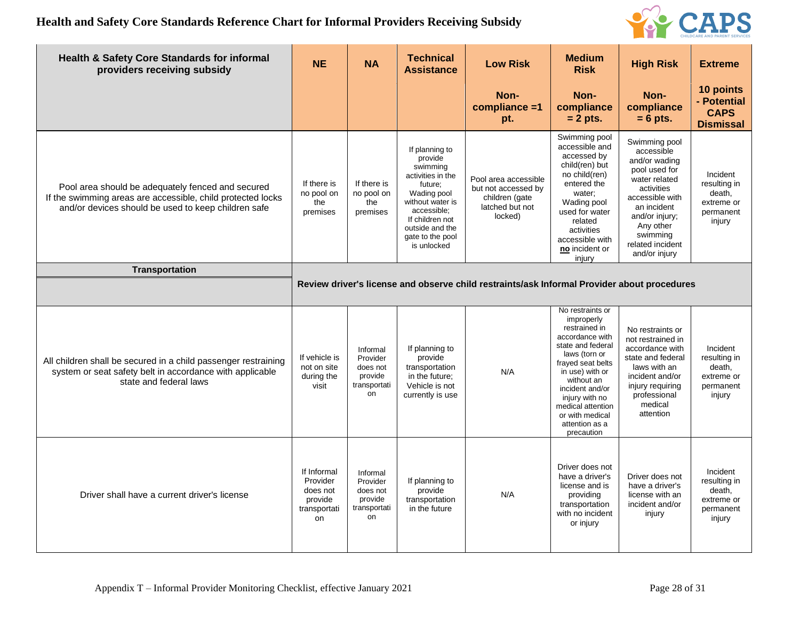

| <b>Health &amp; Safety Core Standards for informal</b><br>providers receiving subsidy                                                                                   | <b>NE</b>                                                            | <b>NA</b>                                                         | <b>Technical</b><br><b>Assistance</b>                                                                                                                                                            | <b>Low Risk</b>                                                                             | <b>Medium</b><br><b>Risk</b>                                                                                                                                                                                                                                                | <b>High Risk</b>                                                                                                                                                                                               | <b>Extreme</b>                                                          |  |  |
|-------------------------------------------------------------------------------------------------------------------------------------------------------------------------|----------------------------------------------------------------------|-------------------------------------------------------------------|--------------------------------------------------------------------------------------------------------------------------------------------------------------------------------------------------|---------------------------------------------------------------------------------------------|-----------------------------------------------------------------------------------------------------------------------------------------------------------------------------------------------------------------------------------------------------------------------------|----------------------------------------------------------------------------------------------------------------------------------------------------------------------------------------------------------------|-------------------------------------------------------------------------|--|--|
|                                                                                                                                                                         |                                                                      |                                                                   |                                                                                                                                                                                                  | Non-<br>compliance =1<br>pt.                                                                | Non-<br>compliance<br>$= 2$ pts.                                                                                                                                                                                                                                            | Non-<br>compliance<br>$= 6$ pts.                                                                                                                                                                               | 10 points<br>- Potential<br><b>CAPS</b><br><b>Dismissal</b>             |  |  |
| Pool area should be adequately fenced and secured<br>If the swimming areas are accessible, child protected locks<br>and/or devices should be used to keep children safe | If there is<br>no pool on<br>the<br>premises                         | If there is<br>no pool on<br>the<br>premises                      | If planning to<br>provide<br>swimming<br>activities in the<br>future;<br>Wading pool<br>without water is<br>accessible:<br>If children not<br>outside and the<br>gate to the pool<br>is unlocked | Pool area accessible<br>but not accessed by<br>children (gate<br>latched but not<br>locked) | Swimming pool<br>accessible and<br>accessed by<br>child(ren) but<br>no child(ren)<br>entered the<br>water;<br>Wading pool<br>used for water<br>related<br>activities<br>accessible with<br>no incident or<br>injury                                                         | Swimming pool<br>accessible<br>and/or wading<br>pool used for<br>water related<br>activities<br>accessible with<br>an incident<br>and/or injury;<br>Any other<br>swimming<br>related incident<br>and/or injury | Incident<br>resulting in<br>death,<br>extreme or<br>permanent<br>injury |  |  |
| <b>Transportation</b>                                                                                                                                                   |                                                                      |                                                                   |                                                                                                                                                                                                  |                                                                                             |                                                                                                                                                                                                                                                                             |                                                                                                                                                                                                                |                                                                         |  |  |
|                                                                                                                                                                         |                                                                      |                                                                   |                                                                                                                                                                                                  | Review driver's license and observe child restraints/ask Informal Provider about procedures |                                                                                                                                                                                                                                                                             |                                                                                                                                                                                                                |                                                                         |  |  |
| All children shall be secured in a child passenger restraining<br>system or seat safety belt in accordance with applicable<br>state and federal laws                    | If vehicle is<br>not on site<br>during the<br>visit                  | Informal<br>Provider<br>does not<br>provide<br>transportati<br>on | If planning to<br>provide<br>transportation<br>in the future;<br>Vehicle is not<br>currently is use                                                                                              | N/A                                                                                         | No restraints or<br>improperly<br>restrained in<br>accordance with<br>state and federal<br>laws (torn or<br>frayed seat belts<br>in use) with or<br>without an<br>incident and/or<br>injury with no<br>medical attention<br>or with medical<br>attention as a<br>precaution | No restraints or<br>not restrained in<br>accordance with<br>state and federal<br>laws with an<br>incident and/or<br>injury requiring<br>professional<br>medical<br>attention                                   | Incident<br>resulting in<br>death,<br>extreme or<br>permanent<br>injury |  |  |
| Driver shall have a current driver's license                                                                                                                            | If Informal<br>Provider<br>does not<br>provide<br>transportati<br>on | Informal<br>Provider<br>does not<br>provide<br>transportati<br>on | If planning to<br>provide<br>transportation<br>in the future                                                                                                                                     | N/A                                                                                         | Driver does not<br>have a driver's<br>license and is<br>providing<br>transportation<br>with no incident<br>or injury                                                                                                                                                        | Driver does not<br>have a driver's<br>license with an<br>incident and/or<br>injury                                                                                                                             | Incident<br>resulting in<br>death,<br>extreme or<br>permanent<br>injury |  |  |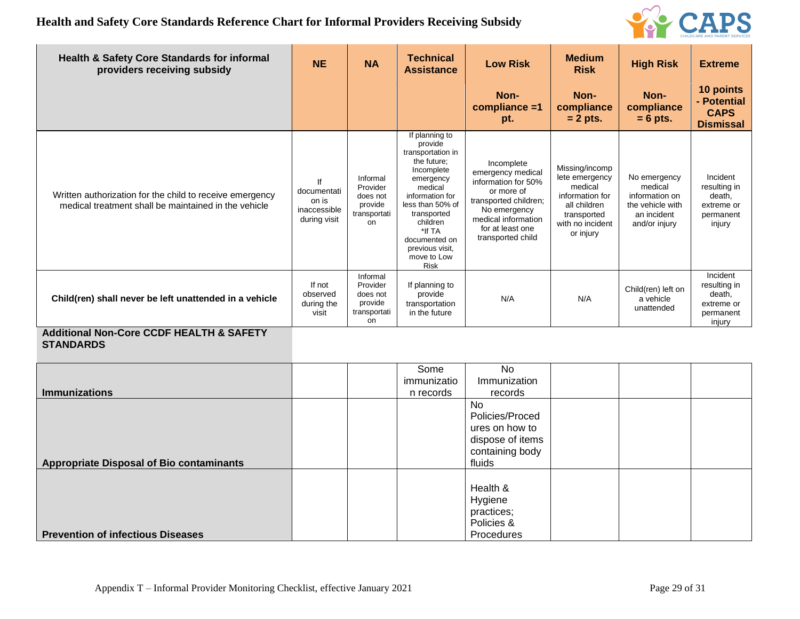

| <b>Health &amp; Safety Core Standards for informal</b><br>providers receiving subsidy                            | <b>NE</b>                                                  | <b>NA</b>                                                         | <b>Technical</b><br><b>Assistance</b>                                                                                                                                                                                                             | <b>Low Risk</b>                                                                                                                                                               | <b>Medium</b><br><b>Risk</b>                                                                                                   | <b>High Risk</b>                                                                              | <b>Extreme</b>                                                          |
|------------------------------------------------------------------------------------------------------------------|------------------------------------------------------------|-------------------------------------------------------------------|---------------------------------------------------------------------------------------------------------------------------------------------------------------------------------------------------------------------------------------------------|-------------------------------------------------------------------------------------------------------------------------------------------------------------------------------|--------------------------------------------------------------------------------------------------------------------------------|-----------------------------------------------------------------------------------------------|-------------------------------------------------------------------------|
|                                                                                                                  |                                                            |                                                                   |                                                                                                                                                                                                                                                   | Non-<br>compliance =1<br>pt.                                                                                                                                                  | Non-<br>compliance<br>$= 2$ pts.                                                                                               | Non-<br>compliance<br>$= 6$ pts.                                                              | 10 points<br>- Potential<br><b>CAPS</b><br><b>Dismissal</b>             |
| Written authorization for the child to receive emergency<br>medical treatment shall be maintained in the vehicle | If<br>documentati<br>on is<br>inaccessible<br>during visit | Informal<br>Provider<br>does not<br>provide<br>transportati<br>on | If planning to<br>provide<br>transportation in<br>the future;<br>Incomplete<br>emergency<br>medical<br>information for<br>less than 50% of<br>transported<br>children<br>*If TA<br>documented on<br>previous visit,<br>move to Low<br><b>Risk</b> | Incomplete<br>emergency medical<br>information for 50%<br>or more of<br>transported children;<br>No emergency<br>medical information<br>for at least one<br>transported child | Missing/incomp<br>lete emergency<br>medical<br>information for<br>all children<br>transported<br>with no incident<br>or injury | No emergency<br>medical<br>information on<br>the vehicle with<br>an incident<br>and/or injury | Incident<br>resulting in<br>death,<br>extreme or<br>permanent<br>injury |
| Child(ren) shall never be left unattended in a vehicle                                                           | If not<br>observed<br>during the<br>visit                  | Informal<br>Provider<br>does not<br>provide<br>transportati<br>on | If planning to<br>provide<br>transportation<br>in the future                                                                                                                                                                                      | N/A                                                                                                                                                                           | N/A                                                                                                                            | Child(ren) left on<br>a vehicle<br>unattended                                                 | Incident<br>resulting in<br>death,<br>extreme or<br>permanent<br>injury |
| <b>Additional Non-Core CCDF HEALTH &amp; SAFETY</b><br><b>STANDARDS</b>                                          |                                                            |                                                                   |                                                                                                                                                                                                                                                   |                                                                                                                                                                               |                                                                                                                                |                                                                                               |                                                                         |
| <b>Immunizations</b>                                                                                             |                                                            |                                                                   | Some<br>immunizatio<br>n records                                                                                                                                                                                                                  | <b>No</b><br>Immunization<br>records                                                                                                                                          |                                                                                                                                |                                                                                               |                                                                         |
| <b>Appropriate Disposal of Bio contaminants</b>                                                                  |                                                            |                                                                   |                                                                                                                                                                                                                                                   | No<br>Policies/Proced<br>ures on how to<br>dispose of items<br>containing body<br>fluids                                                                                      |                                                                                                                                |                                                                                               |                                                                         |
| <b>Prevention of infectious Diseases</b>                                                                         |                                                            |                                                                   |                                                                                                                                                                                                                                                   | Health &<br>Hygiene<br>practices;<br>Policies &<br>Procedures                                                                                                                 |                                                                                                                                |                                                                                               |                                                                         |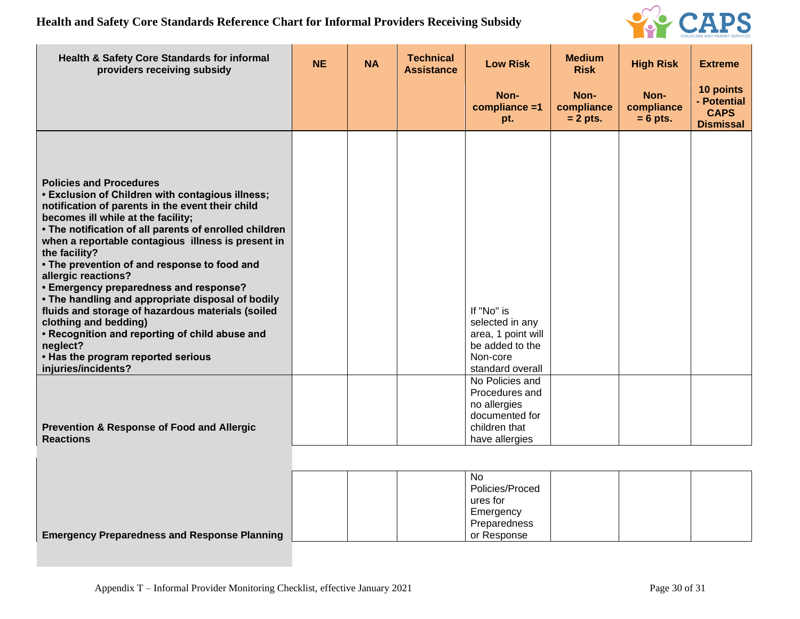

| Health & Safety Core Standards for informal<br>providers receiving subsidy                                                                                                                                                                                                                                                                                                                                                                                                                                                                                                                                                                                                                          | <b>NE</b> | <b>NA</b> | <b>Technical</b><br><b>Assistance</b> | <b>Low Risk</b>                                                                                                                        | <b>Medium</b><br><b>Risk</b>     | <b>High Risk</b>                 | <b>Extreme</b>                                              |
|-----------------------------------------------------------------------------------------------------------------------------------------------------------------------------------------------------------------------------------------------------------------------------------------------------------------------------------------------------------------------------------------------------------------------------------------------------------------------------------------------------------------------------------------------------------------------------------------------------------------------------------------------------------------------------------------------------|-----------|-----------|---------------------------------------|----------------------------------------------------------------------------------------------------------------------------------------|----------------------------------|----------------------------------|-------------------------------------------------------------|
|                                                                                                                                                                                                                                                                                                                                                                                                                                                                                                                                                                                                                                                                                                     |           |           |                                       | Non-<br>compliance =1<br>pt.                                                                                                           | Non-<br>compliance<br>$= 2$ pts. | Non-<br>compliance<br>$= 6$ pts. | 10 points<br>- Potential<br><b>CAPS</b><br><b>Dismissal</b> |
| <b>Policies and Procedures</b><br>• Exclusion of Children with contagious illness;<br>notification of parents in the event their child<br>becomes ill while at the facility;<br>• The notification of all parents of enrolled children<br>when a reportable contagious illness is present in<br>the facility?<br>• The prevention of and response to food and<br>allergic reactions?<br><b>• Emergency preparedness and response?</b><br>• The handling and appropriate disposal of bodily<br>fluids and storage of hazardous materials (soiled<br>clothing and bedding)<br>• Recognition and reporting of child abuse and<br>neglect?<br>• Has the program reported serious<br>injuries/incidents? |           |           |                                       | If "No" is<br>selected in any<br>area, 1 point will<br>be added to the<br>Non-core<br>standard overall                                 |                                  |                                  |                                                             |
| <b>Prevention &amp; Response of Food and Allergic</b><br><b>Reactions</b>                                                                                                                                                                                                                                                                                                                                                                                                                                                                                                                                                                                                                           |           |           |                                       | No Policies and<br>Procedures and<br>no allergies<br>documented for<br>children that<br>have allergies<br><b>No</b><br>Policies/Proced |                                  |                                  |                                                             |
|                                                                                                                                                                                                                                                                                                                                                                                                                                                                                                                                                                                                                                                                                                     |           |           |                                       | ures for<br>Emergency<br>Preparedness                                                                                                  |                                  |                                  |                                                             |

or Response

**Emergency Preparedness and Response Planning**